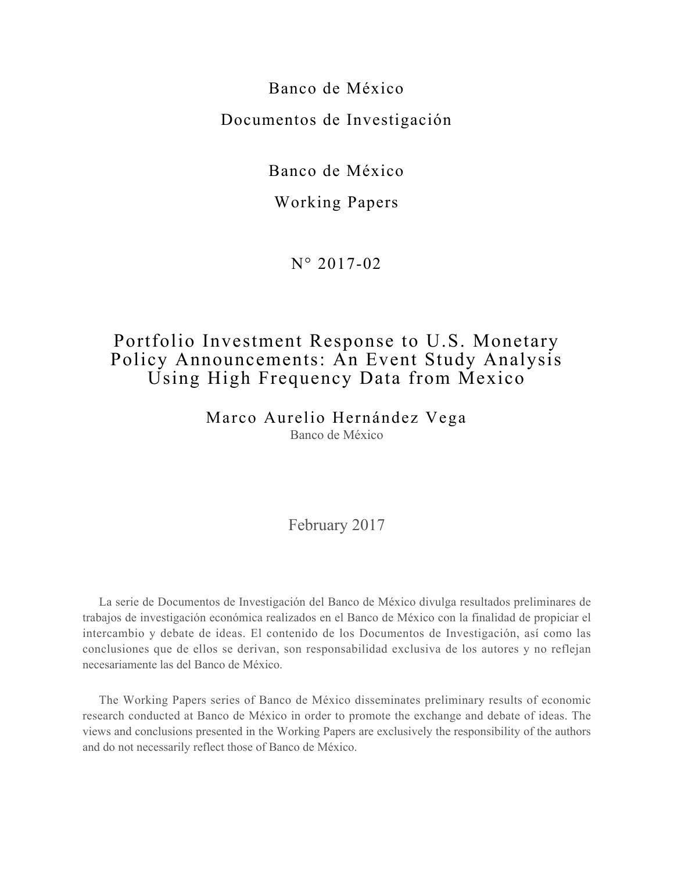Banco de México Documentos de Investigación

Banco de México

#### Working Papers

N° 2017-02

## Portfolio Investment Response to U.S. Monetary Policy Announcements: An Event Study Analysis Using High Frequency Data from Mexico

Marco Aurelio Hernández Vega Banco de México

#### February 2017

La serie de Documentos de Investigación del Banco de México divulga resultados preliminares de trabajos de investigación económica realizados en el Banco de México con la finalidad de propiciar el intercambio y debate de ideas. El contenido de los Documentos de Investigación, así como las conclusiones que de ellos se derivan, son responsabilidad exclusiva de los autores y no reflejan necesariamente las del Banco de México.

The Working Papers series of Banco de México disseminates preliminary results of economic research conducted at Banco de México in order to promote the exchange and debate of ideas. The views and conclusions presented in the Working Papers are exclusively the responsibility of the authors and do not necessarily reflect those of Banco de México.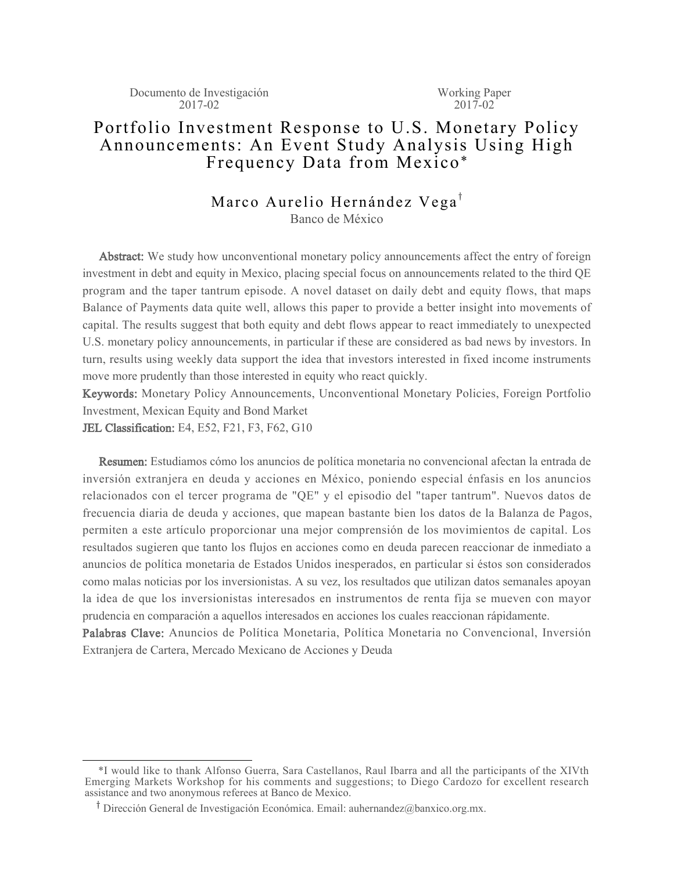#### Portfolio Investment Response to U.S. Monetary Policy Announcements: An Event Study Analysis Using High Frequency Data from Mexico\*

# Marco Aurelio Hernández Vega<sup>†</sup>

Banco de México

Abstract: We study how unconventional monetary policy announcements affect the entry of foreign investment in debt and equity in Mexico, placing special focus on announcements related to the third QE program and the taper tantrum episode. A novel dataset on daily debt and equity flows, that maps Balance of Payments data quite well, allows this paper to provide a better insight into movements of capital. The results suggest that both equity and debt flows appear to react immediately to unexpected U.S. monetary policy announcements, in particular if these are considered as bad news by investors. In turn, results using weekly data support the idea that investors interested in fixed income instruments move more prudently than those interested in equity who react quickly.

Keywords: Monetary Policy Announcements, Unconventional Monetary Policies, Foreign Portfolio Investment, Mexican Equity and Bond Market

JEL Classification: E4, E52, F21, F3, F62, G10

Resumen: Estudiamos cómo los anuncios de política monetaria no convencional afectan la entrada de inversión extranjera en deuda y acciones en México, poniendo especial énfasis en los anuncios relacionados con el tercer programa de "QE" y el episodio del "taper tantrum". Nuevos datos de frecuencia diaria de deuda y acciones, que mapean bastante bien los datos de la Balanza de Pagos, permiten a este artículo proporcionar una mejor comprensión de los movimientos de capital. Los resultados sugieren que tanto los flujos en acciones como en deuda parecen reaccionar de inmediato a anuncios de política monetaria de Estados Unidos inesperados, en particular si éstos son considerados como malas noticias por los inversionistas. A su vez, los resultados que utilizan datos semanales apoyan la idea de que los inversionistas interesados en instrumentos de renta fija se mueven con mayor prudencia en comparación a aquellos interesados en acciones los cuales reaccionan rápidamente.

Palabras Clave: Anuncios de Política Monetaria, Política Monetaria no Convencional, Inversión Extranjera de Cartera, Mercado Mexicano de Acciones y Deuda

 <sup>\*</sup>I would like to thank Alfonso Guerra, Sara Castellanos, Raul Ibarra and all the participants of the XIVth Emerging Markets Workshop for his comments and suggestions; to Diego Cardozo for excellent research assistance and two anonymous referees at Banco de Mexico.

<sup>&</sup>lt;sup>T</sup> Dirección General de Investigación Económica. Email: auhernandez@banxico.org.mx.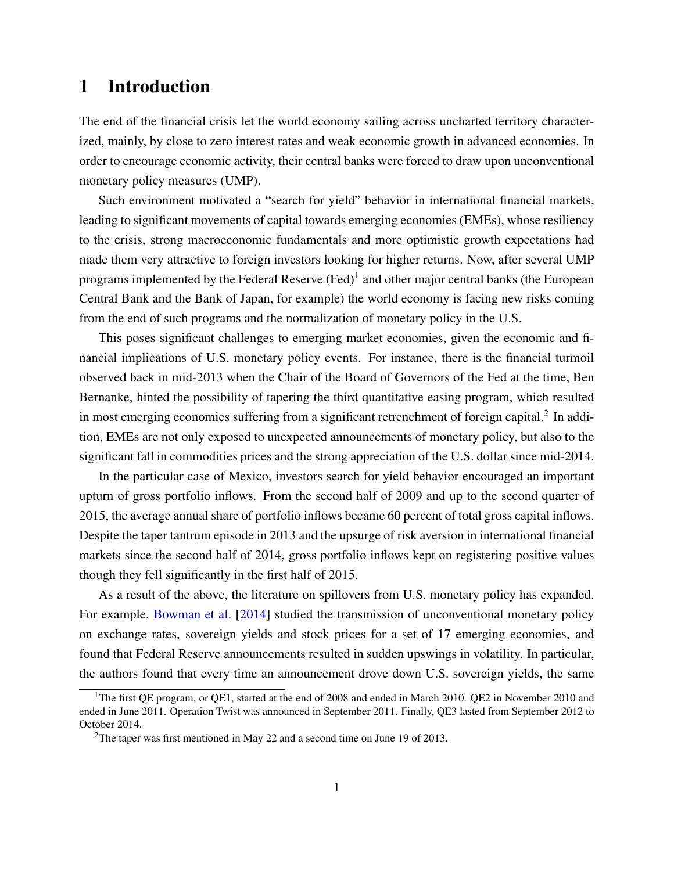### 1 Introduction

The end of the financial crisis let the world economy sailing across uncharted territory characterized, mainly, by close to zero interest rates and weak economic growth in advanced economies. In order to encourage economic activity, their central banks were forced to draw upon unconventional monetary policy measures (UMP).

Such environment motivated a "search for yield" behavior in international financial markets, leading to significant movements of capital towards emerging economies (EMEs), whose resiliency to the crisis, strong macroeconomic fundamentals and more optimistic growth expectations had made them very attractive to foreign investors looking for higher returns. Now, after several UMP programs implemented by the Federal Reserve (Fed)<sup>1</sup> and other major central banks (the European Central Bank and the Bank of Japan, for example) the world economy is facing new risks coming from the end of such programs and the normalization of monetary policy in the U.S.

This poses significant challenges to emerging market economies, given the economic and financial implications of U.S. monetary policy events. For instance, there is the financial turmoil observed back in mid-2013 when the Chair of the Board of Governors of the Fed at the time, Ben Bernanke, hinted the possibility of tapering the third quantitative easing program, which resulted in most emerging economies suffering from a significant retrenchment of foreign capital. $^2$  In addition, EMEs are not only exposed to unexpected announcements of monetary policy, but also to the significant fall in commodities prices and the strong appreciation of the U.S. dollar since mid-2014.

In the particular case of Mexico, investors search for yield behavior encouraged an important upturn of gross portfolio inflows. From the second half of 2009 and up to the second quarter of 2015, the average annual share of portfolio inflows became 60 percent of total gross capital inflows. Despite the taper tantrum episode in 2013 and the upsurge of risk aversion in international financial markets since the second half of 2014, gross portfolio inflows kept on registering positive values though they fell significantly in the first half of 2015.

As a result of the above, the literature on spillovers from U.S. monetary policy has expanded. For example, [Bowman et al.](#page-15-0) [\[2014\]](#page-15-0) studied the transmission of unconventional monetary policy on exchange rates, sovereign yields and stock prices for a set of 17 emerging economies, and found that Federal Reserve announcements resulted in sudden upswings in volatility. In particular, the authors found that every time an announcement drove down U.S. sovereign yields, the same

<sup>&</sup>lt;sup>1</sup>The first QE program, or QE1, started at the end of 2008 and ended in March 2010. QE2 in November 2010 and ended in June 2011. Operation Twist was announced in September 2011. Finally, QE3 lasted from September 2012 to October 2014.

<sup>&</sup>lt;sup>2</sup>The taper was first mentioned in May 22 and a second time on June 19 of 2013.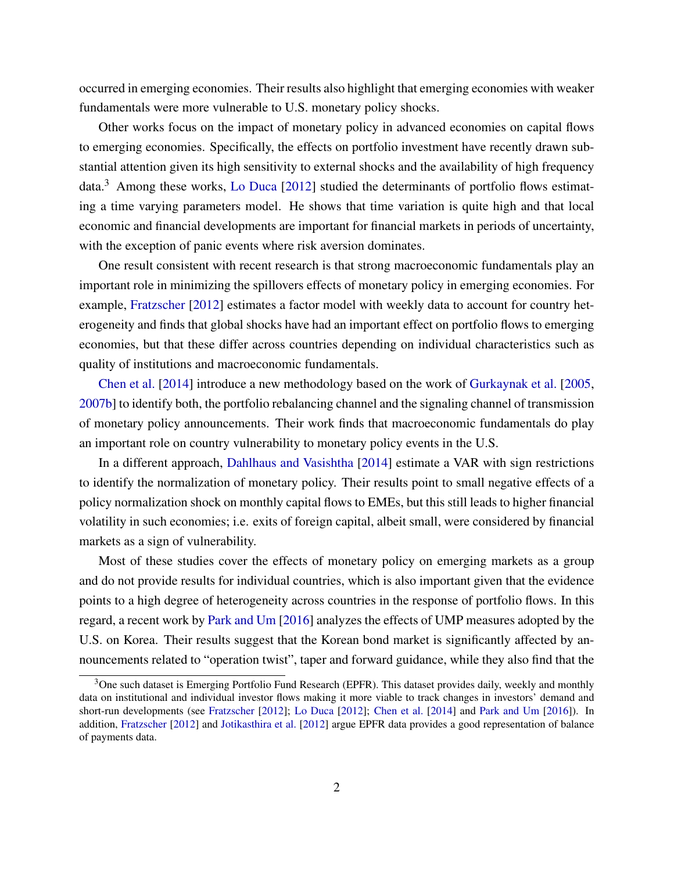occurred in emerging economies. Their results also highlight that emerging economies with weaker fundamentals were more vulnerable to U.S. monetary policy shocks.

Other works focus on the impact of monetary policy in advanced economies on capital flows to emerging economies. Specifically, the effects on portfolio investment have recently drawn substantial attention given its high sensitivity to external shocks and the availability of high frequency  $data<sup>3</sup>$  Among these works, [Lo Duca](#page-17-0) [\[2012\]](#page-17-0) studied the determinants of portfolio flows estimating a time varying parameters model. He shows that time variation is quite high and that local economic and financial developments are important for financial markets in periods of uncertainty, with the exception of panic events where risk aversion dominates.

One result consistent with recent research is that strong macroeconomic fundamentals play an important role in minimizing the spillovers effects of monetary policy in emerging economies. For example, [Fratzscher](#page-16-0) [\[2012\]](#page-16-0) estimates a factor model with weekly data to account for country heterogeneity and finds that global shocks have had an important effect on portfolio flows to emerging economies, but that these differ across countries depending on individual characteristics such as quality of institutions and macroeconomic fundamentals.

[Chen et al.](#page-15-1) [\[2014\]](#page-15-1) introduce a new methodology based on the work of [Gurkaynak et al.](#page-16-1) [\[2005,](#page-16-1) [2007b\]](#page-16-2) to identify both, the portfolio rebalancing channel and the signaling channel of transmission of monetary policy announcements. Their work finds that macroeconomic fundamentals do play an important role on country vulnerability to monetary policy events in the U.S.

In a different approach, [Dahlhaus and Vasishtha](#page-15-2) [\[2014\]](#page-15-2) estimate a VAR with sign restrictions to identify the normalization of monetary policy. Their results point to small negative effects of a policy normalization shock on monthly capital flows to EMEs, but this still leads to higher financial volatility in such economies; i.e. exits of foreign capital, albeit small, were considered by financial markets as a sign of vulnerability.

Most of these studies cover the effects of monetary policy on emerging markets as a group and do not provide results for individual countries, which is also important given that the evidence points to a high degree of heterogeneity across countries in the response of portfolio flows. In this regard, a recent work by [Park and Um](#page-17-1) [\[2016\]](#page-17-1) analyzes the effects of UMP measures adopted by the U.S. on Korea. Their results suggest that the Korean bond market is significantly affected by announcements related to "operation twist", taper and forward guidance, while they also find that the

<sup>&</sup>lt;sup>3</sup>One such dataset is Emerging Portfolio Fund Research (EPFR). This dataset provides daily, weekly and monthly data on institutional and individual investor flows making it more viable to track changes in investors' demand and short-run developments (see [Fratzscher](#page-16-0) [\[2012\]](#page-16-0); [Lo Duca](#page-17-0) [\[2012\]](#page-17-0); [Chen et al.](#page-15-1) [\[2014\]](#page-15-1) and [Park and Um](#page-17-1) [\[2016\]](#page-17-1)). In addition, [Fratzscher](#page-16-0) [\[2012\]](#page-16-0) and [Jotikasthira et al.](#page-16-3) [\[2012\]](#page-16-3) argue EPFR data provides a good representation of balance of payments data.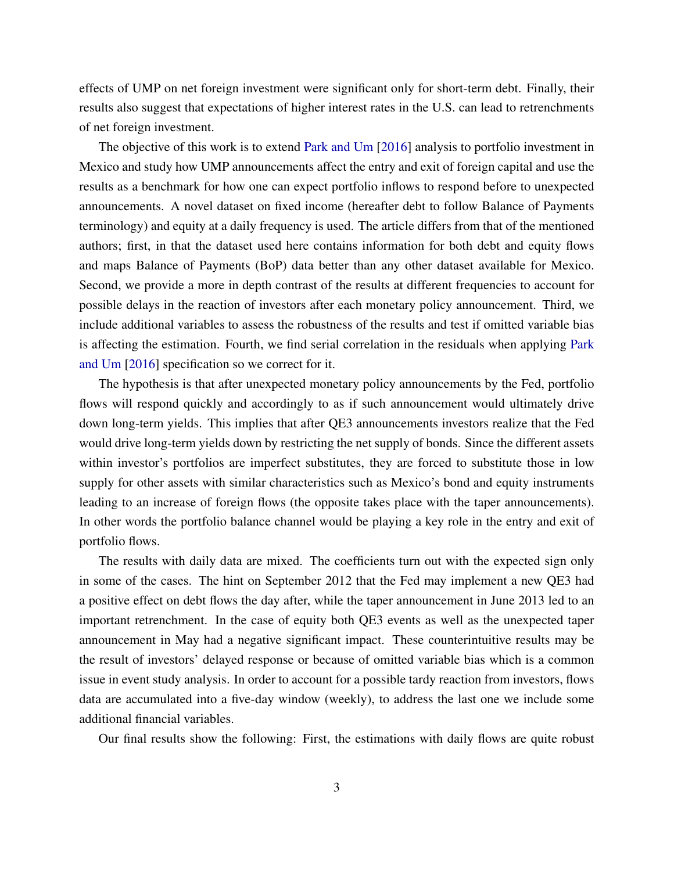effects of UMP on net foreign investment were significant only for short-term debt. Finally, their results also suggest that expectations of higher interest rates in the U.S. can lead to retrenchments of net foreign investment.

The objective of this work is to extend [Park and Um](#page-17-1) [\[2016\]](#page-17-1) analysis to portfolio investment in Mexico and study how UMP announcements affect the entry and exit of foreign capital and use the results as a benchmark for how one can expect portfolio inflows to respond before to unexpected announcements. A novel dataset on fixed income (hereafter debt to follow Balance of Payments terminology) and equity at a daily frequency is used. The article differs from that of the mentioned authors; first, in that the dataset used here contains information for both debt and equity flows and maps Balance of Payments (BoP) data better than any other dataset available for Mexico. Second, we provide a more in depth contrast of the results at different frequencies to account for possible delays in the reaction of investors after each monetary policy announcement. Third, we include additional variables to assess the robustness of the results and test if omitted variable bias is affecting the estimation. Fourth, we find serial correlation in the residuals when applying [Park](#page-17-1) [and Um](#page-17-1) [\[2016\]](#page-17-1) specification so we correct for it.

The hypothesis is that after unexpected monetary policy announcements by the Fed, portfolio flows will respond quickly and accordingly to as if such announcement would ultimately drive down long-term yields. This implies that after QE3 announcements investors realize that the Fed would drive long-term yields down by restricting the net supply of bonds. Since the different assets within investor's portfolios are imperfect substitutes, they are forced to substitute those in low supply for other assets with similar characteristics such as Mexico's bond and equity instruments leading to an increase of foreign flows (the opposite takes place with the taper announcements). In other words the portfolio balance channel would be playing a key role in the entry and exit of portfolio flows.

The results with daily data are mixed. The coefficients turn out with the expected sign only in some of the cases. The hint on September 2012 that the Fed may implement a new QE3 had a positive effect on debt flows the day after, while the taper announcement in June 2013 led to an important retrenchment. In the case of equity both QE3 events as well as the unexpected taper announcement in May had a negative significant impact. These counterintuitive results may be the result of investors' delayed response or because of omitted variable bias which is a common issue in event study analysis. In order to account for a possible tardy reaction from investors, flows data are accumulated into a five-day window (weekly), to address the last one we include some additional financial variables.

Our final results show the following: First, the estimations with daily flows are quite robust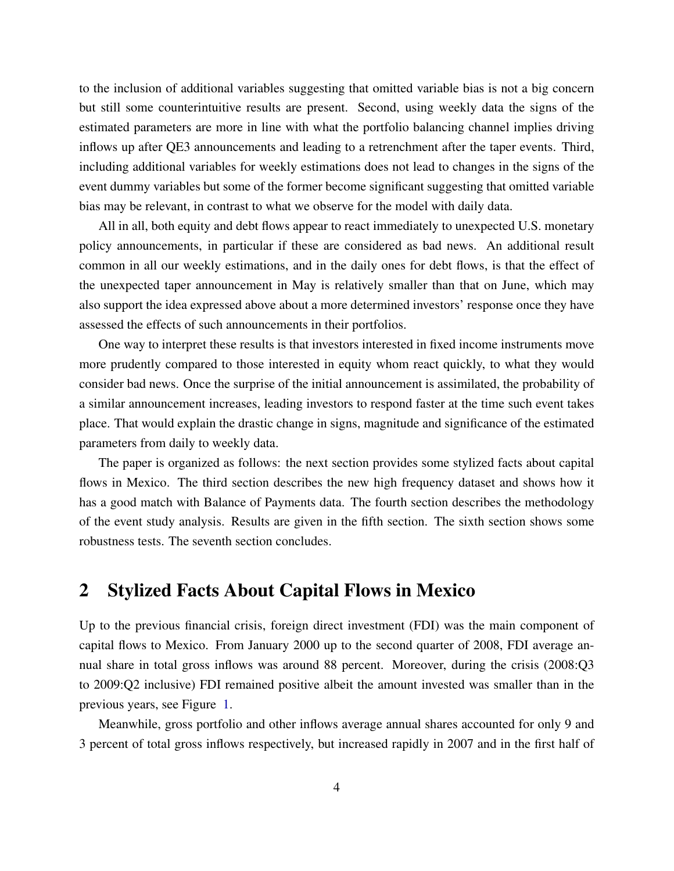to the inclusion of additional variables suggesting that omitted variable bias is not a big concern but still some counterintuitive results are present. Second, using weekly data the signs of the estimated parameters are more in line with what the portfolio balancing channel implies driving inflows up after QE3 announcements and leading to a retrenchment after the taper events. Third, including additional variables for weekly estimations does not lead to changes in the signs of the event dummy variables but some of the former become significant suggesting that omitted variable bias may be relevant, in contrast to what we observe for the model with daily data.

All in all, both equity and debt flows appear to react immediately to unexpected U.S. monetary policy announcements, in particular if these are considered as bad news. An additional result common in all our weekly estimations, and in the daily ones for debt flows, is that the effect of the unexpected taper announcement in May is relatively smaller than that on June, which may also support the idea expressed above about a more determined investors' response once they have assessed the effects of such announcements in their portfolios.

One way to interpret these results is that investors interested in fixed income instruments move more prudently compared to those interested in equity whom react quickly, to what they would consider bad news. Once the surprise of the initial announcement is assimilated, the probability of a similar announcement increases, leading investors to respond faster at the time such event takes place. That would explain the drastic change in signs, magnitude and significance of the estimated parameters from daily to weekly data.

The paper is organized as follows: the next section provides some stylized facts about capital flows in Mexico. The third section describes the new high frequency dataset and shows how it has a good match with Balance of Payments data. The fourth section describes the methodology of the event study analysis. Results are given in the fifth section. The sixth section shows some robustness tests. The seventh section concludes.

### 2 Stylized Facts About Capital Flows in Mexico

Up to the previous financial crisis, foreign direct investment (FDI) was the main component of capital flows to Mexico. From January 2000 up to the second quarter of 2008, FDI average annual share in total gross inflows was around 88 percent. Moreover, during the crisis (2008:Q3 to 2009:Q2 inclusive) FDI remained positive albeit the amount invested was smaller than in the previous years, see Figure [1.](#page-22-0)

Meanwhile, gross portfolio and other inflows average annual shares accounted for only 9 and 3 percent of total gross inflows respectively, but increased rapidly in 2007 and in the first half of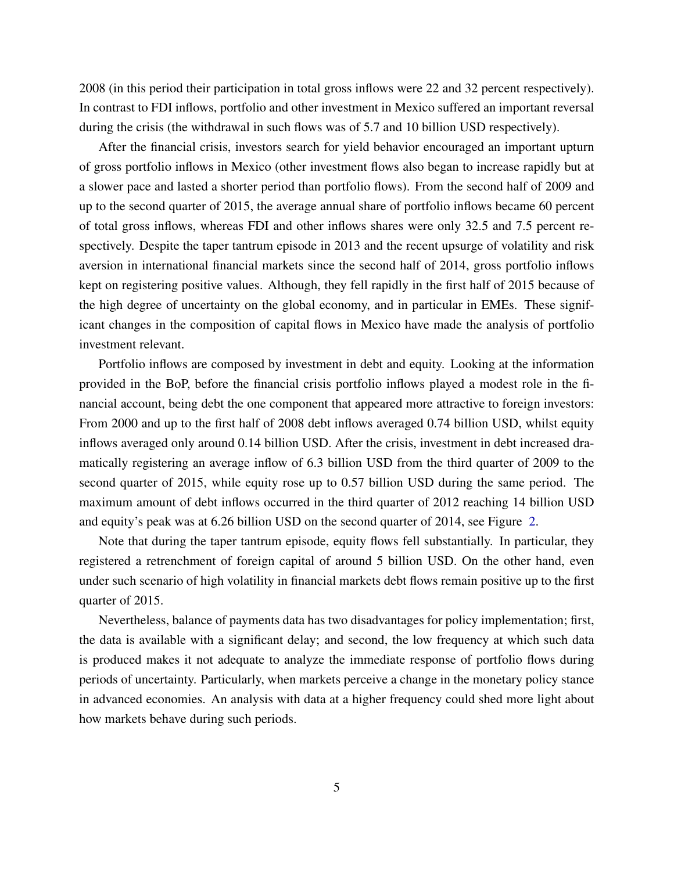2008 (in this period their participation in total gross inflows were 22 and 32 percent respectively). In contrast to FDI inflows, portfolio and other investment in Mexico suffered an important reversal during the crisis (the withdrawal in such flows was of 5.7 and 10 billion USD respectively).

After the financial crisis, investors search for yield behavior encouraged an important upturn of gross portfolio inflows in Mexico (other investment flows also began to increase rapidly but at a slower pace and lasted a shorter period than portfolio flows). From the second half of 2009 and up to the second quarter of 2015, the average annual share of portfolio inflows became 60 percent of total gross inflows, whereas FDI and other inflows shares were only 32.5 and 7.5 percent respectively. Despite the taper tantrum episode in 2013 and the recent upsurge of volatility and risk aversion in international financial markets since the second half of 2014, gross portfolio inflows kept on registering positive values. Although, they fell rapidly in the first half of 2015 because of the high degree of uncertainty on the global economy, and in particular in EMEs. These significant changes in the composition of capital flows in Mexico have made the analysis of portfolio investment relevant.

Portfolio inflows are composed by investment in debt and equity. Looking at the information provided in the BoP, before the financial crisis portfolio inflows played a modest role in the financial account, being debt the one component that appeared more attractive to foreign investors: From 2000 and up to the first half of 2008 debt inflows averaged 0.74 billion USD, whilst equity inflows averaged only around 0.14 billion USD. After the crisis, investment in debt increased dramatically registering an average inflow of 6.3 billion USD from the third quarter of 2009 to the second quarter of 2015, while equity rose up to 0.57 billion USD during the same period. The maximum amount of debt inflows occurred in the third quarter of 2012 reaching 14 billion USD and equity's peak was at 6.26 billion USD on the second quarter of 2014, see Figure [2.](#page-23-0)

Note that during the taper tantrum episode, equity flows fell substantially. In particular, they registered a retrenchment of foreign capital of around 5 billion USD. On the other hand, even under such scenario of high volatility in financial markets debt flows remain positive up to the first quarter of 2015.

Nevertheless, balance of payments data has two disadvantages for policy implementation; first, the data is available with a significant delay; and second, the low frequency at which such data is produced makes it not adequate to analyze the immediate response of portfolio flows during periods of uncertainty. Particularly, when markets perceive a change in the monetary policy stance in advanced economies. An analysis with data at a higher frequency could shed more light about how markets behave during such periods.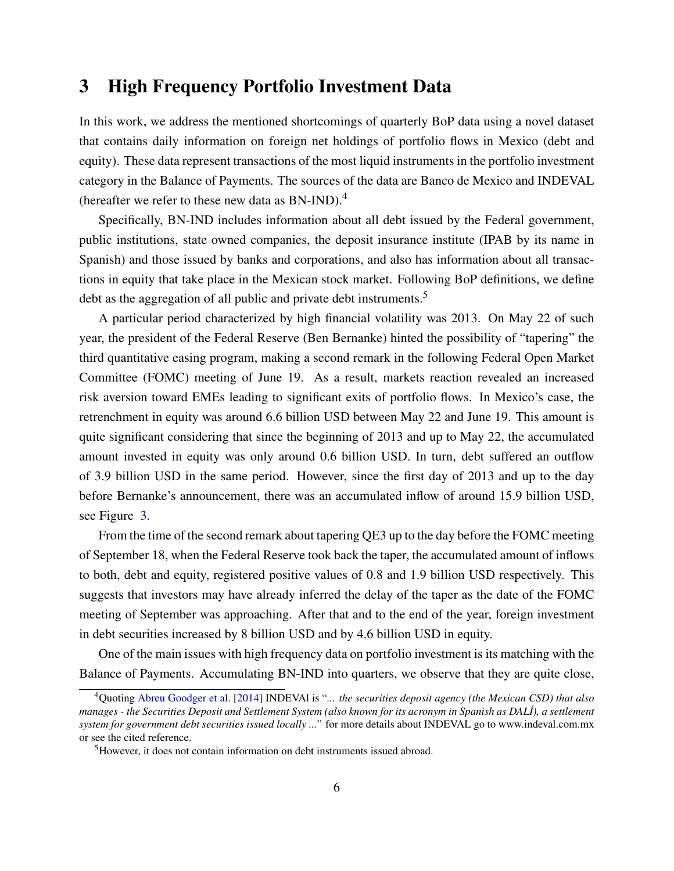### 3 High Frequency Portfolio Investment Data

In this work, we address the mentioned shortcomings of quarterly BoP data using a novel dataset that contains daily information on foreign net holdings of portfolio flows in Mexico (debt and equity). These data represent transactions of the most liquid instruments in the portfolio investment category in the Balance of Payments. The sources of the data are Banco de Mexico and INDEVAL (hereafter we refer to these new data as  $BN-IND$ ).<sup>4</sup>

Specifically, BN-IND includes information about all debt issued by the Federal government, public institutions, state owned companies, the deposit insurance institute (IPAB by its name in Spanish) and those issued by banks and corporations, and also has information about all transactions in equity that take place in the Mexican stock market. Following BoP definitions, we define debt as the aggregation of all public and private debt instruments.<sup>5</sup>

A particular period characterized by high financial volatility was 2013. On May 22 of such year, the president of the Federal Reserve (Ben Bernanke) hinted the possibility of "tapering" the third quantitative easing program, making a second remark in the following Federal Open Market Committee (FOMC) meeting of June 19. As a result, markets reaction revealed an increased risk aversion toward EMEs leading to significant exits of portfolio flows. In Mexico's case, the retrenchment in equity was around 6.6 billion USD between May 22 and June 19. This amount is quite significant considering that since the beginning of 2013 and up to May 22, the accumulated amount invested in equity was only around 0.6 billion USD. In turn, debt suffered an outflow of 3.9 billion USD in the same period. However, since the first day of 2013 and up to the day before Bernanke's announcement, there was an accumulated inflow of around 15.9 billion USD, see Figure [3.](#page-24-0)

From the time of the second remark about tapering QE3 up to the day before the FOMC meeting of September 18, when the Federal Reserve took back the taper, the accumulated amount of inflows to both, debt and equity, registered positive values of 0.8 and 1.9 billion USD respectively. This suggests that investors may have already inferred the delay of the taper as the date of the FOMC meeting of September was approaching. After that and to the end of the year, foreign investment in debt securities increased by 8 billion USD and by 4.6 billion USD in equity.

One of the main issues with high frequency data on portfolio investment is its matching with the Balance of Payments. Accumulating BN-IND into quarters, we observe that they are quite close,

<sup>4</sup>Quoting [Abreu Goodger et al.](#page-15-3) [\[2014\]](#page-15-3) INDEVAl is "*... the securities deposit agency (the Mexican CSD) that also manages - the Securities Deposit and Settlement System (also known for its acronym in Spanish as DALÍ), a settlement system for government debt securities issued locally ...*" for more details about INDEVAL go to www.indeval.com.mx or see the cited reference.

<sup>5</sup>However, it does not contain information on debt instruments issued abroad.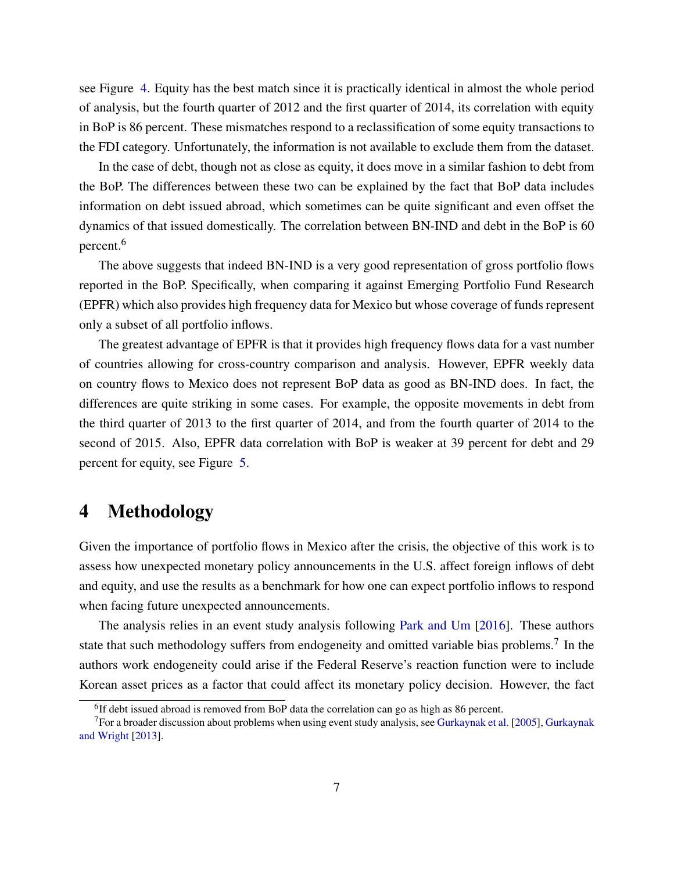see Figure [4.](#page-25-0) Equity has the best match since it is practically identical in almost the whole period of analysis, but the fourth quarter of 2012 and the first quarter of 2014, its correlation with equity in BoP is 86 percent. These mismatches respond to a reclassification of some equity transactions to the FDI category. Unfortunately, the information is not available to exclude them from the dataset.

In the case of debt, though not as close as equity, it does move in a similar fashion to debt from the BoP. The differences between these two can be explained by the fact that BoP data includes information on debt issued abroad, which sometimes can be quite significant and even offset the dynamics of that issued domestically. The correlation between BN-IND and debt in the BoP is 60 percent.<sup>6</sup>

The above suggests that indeed BN-IND is a very good representation of gross portfolio flows reported in the BoP. Specifically, when comparing it against Emerging Portfolio Fund Research (EPFR) which also provides high frequency data for Mexico but whose coverage of funds represent only a subset of all portfolio inflows.

The greatest advantage of EPFR is that it provides high frequency flows data for a vast number of countries allowing for cross-country comparison and analysis. However, EPFR weekly data on country flows to Mexico does not represent BoP data as good as BN-IND does. In fact, the differences are quite striking in some cases. For example, the opposite movements in debt from the third quarter of 2013 to the first quarter of 2014, and from the fourth quarter of 2014 to the second of 2015. Also, EPFR data correlation with BoP is weaker at 39 percent for debt and 29 percent for equity, see Figure [5.](#page-26-0)

#### 4 Methodology

Given the importance of portfolio flows in Mexico after the crisis, the objective of this work is to assess how unexpected monetary policy announcements in the U.S. affect foreign inflows of debt and equity, and use the results as a benchmark for how one can expect portfolio inflows to respond when facing future unexpected announcements.

The analysis relies in an event study analysis following [Park and Um](#page-17-1) [\[2016\]](#page-17-1). These authors state that such methodology suffers from endogeneity and omitted variable bias problems.<sup>7</sup> In the authors work endogeneity could arise if the Federal Reserve's reaction function were to include Korean asset prices as a factor that could affect its monetary policy decision. However, the fact

<sup>&</sup>lt;sup>6</sup>If debt issued abroad is removed from BoP data the correlation can go as high as 86 percent.

<sup>&</sup>lt;sup>7</sup>For a broader discussion about problems when using event study analysis, see [Gurkaynak et al.](#page-16-1) [\[2005\]](#page-16-1), [Gurkaynak](#page-16-4) [and Wright](#page-16-4) [\[2013\]](#page-16-4).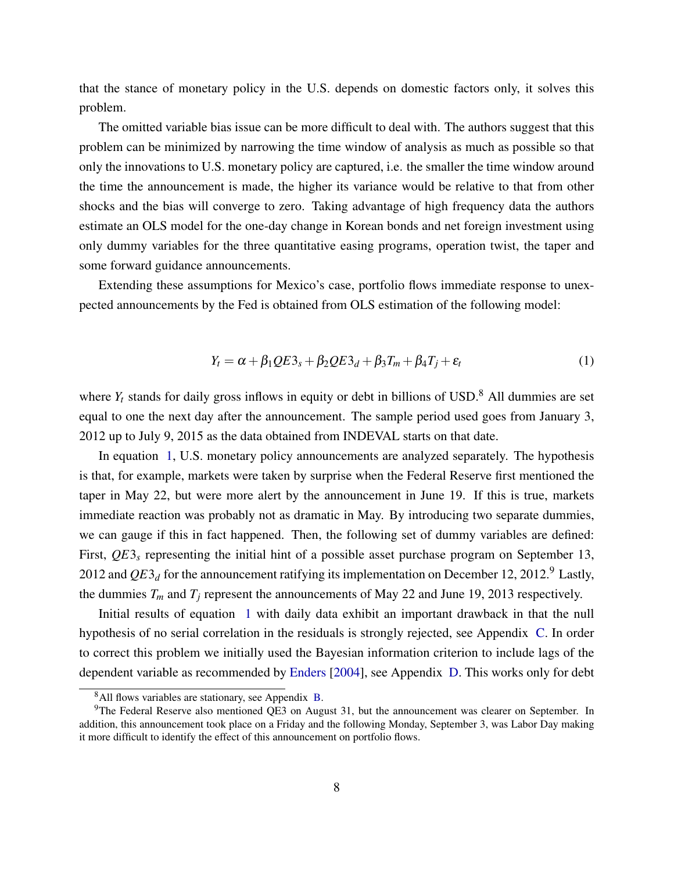that the stance of monetary policy in the U.S. depends on domestic factors only, it solves this problem.

The omitted variable bias issue can be more difficult to deal with. The authors suggest that this problem can be minimized by narrowing the time window of analysis as much as possible so that only the innovations to U.S. monetary policy are captured, i.e. the smaller the time window around the time the announcement is made, the higher its variance would be relative to that from other shocks and the bias will converge to zero. Taking advantage of high frequency data the authors estimate an OLS model for the one-day change in Korean bonds and net foreign investment using only dummy variables for the three quantitative easing programs, operation twist, the taper and some forward guidance announcements.

Extending these assumptions for Mexico's case, portfolio flows immediate response to unexpected announcements by the Fed is obtained from OLS estimation of the following model:

<span id="page-9-0"></span>
$$
Y_t = \alpha + \beta_1 Q E_3 + \beta_2 Q E_3 + \beta_3 T_m + \beta_4 T_j + \varepsilon_t \tag{1}
$$

where  $Y_t$  stands for daily gross inflows in equity or debt in billions of USD.<sup>8</sup> All dummies are set equal to one the next day after the announcement. The sample period used goes from January 3, 2012 up to July 9, 2015 as the data obtained from INDEVAL starts on that date.

In equation [1,](#page-9-0) U.S. monetary policy announcements are analyzed separately. The hypothesis is that, for example, markets were taken by surprise when the Federal Reserve first mentioned the taper in May 22, but were more alert by the announcement in June 19. If this is true, markets immediate reaction was probably not as dramatic in May. By introducing two separate dummies, we can gauge if this in fact happened. Then, the following set of dummy variables are defined: First,  $QE3<sub>s</sub>$  representing the initial hint of a possible asset purchase program on September 13, 2012 and  $QE3_d$  for the announcement ratifying its implementation on December 12, 2012.<sup>9</sup> Lastly, the dummies  $T_m$  and  $T_j$  represent the announcements of May 22 and June 19, 2013 respectively.

Initial results of equation [1](#page-9-0) with daily data exhibit an important drawback in that the null hypothesis of no serial correlation in the residuals is strongly rejected, see Appendix [C.](#page-29-0) In order to correct this problem we initially used the Bayesian information criterion to include lags of the dependent variable as recommended by [Enders](#page-15-4) [\[2004\]](#page-15-4), see Appendix [D.](#page-31-0) This works only for debt

<sup>8</sup>All flows variables are stationary, see Appendix [B.](#page-28-0)

<sup>&</sup>lt;sup>9</sup>The Federal Reserve also mentioned OE3 on August 31, but the announcement was clearer on September. In addition, this announcement took place on a Friday and the following Monday, September 3, was Labor Day making it more difficult to identify the effect of this announcement on portfolio flows.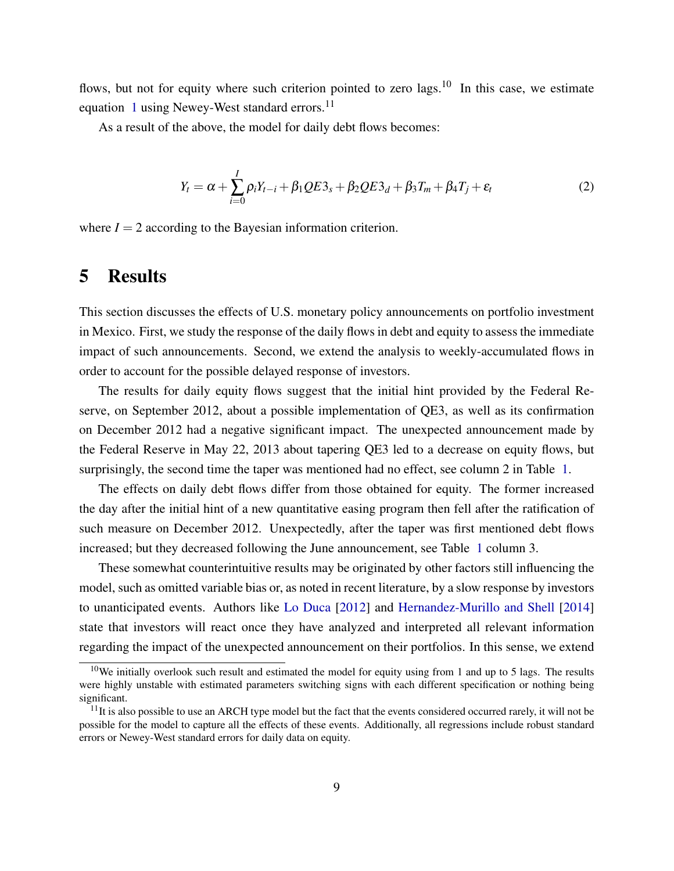flows, but not for equity where such criterion pointed to zero  $\log s$ .<sup>10</sup> In this case, we estimate equation [1](#page-9-0) using Newey-West standard errors.<sup>11</sup>

As a result of the above, the model for daily debt flows becomes:

<span id="page-10-0"></span>
$$
Y_t = \alpha + \sum_{i=0}^{I} \rho_i Y_{t-i} + \beta_1 Q E 3_s + \beta_2 Q E 3_d + \beta_3 T_m + \beta_4 T_j + \varepsilon_t
$$
 (2)

where  $I = 2$  according to the Bayesian information criterion.

#### 5 Results

This section discusses the effects of U.S. monetary policy announcements on portfolio investment in Mexico. First, we study the response of the daily flows in debt and equity to assess the immediate impact of such announcements. Second, we extend the analysis to weekly-accumulated flows in order to account for the possible delayed response of investors.

The results for daily equity flows suggest that the initial hint provided by the Federal Reserve, on September 2012, about a possible implementation of QE3, as well as its confirmation on December 2012 had a negative significant impact. The unexpected announcement made by the Federal Reserve in May 22, 2013 about tapering QE3 led to a decrease on equity flows, but surprisingly, the second time the taper was mentioned had no effect, see column 2 in Table [1.](#page-18-0)

The effects on daily debt flows differ from those obtained for equity. The former increased the day after the initial hint of a new quantitative easing program then fell after the ratification of such measure on December 2012. Unexpectedly, after the taper was first mentioned debt flows increased; but they decreased following the June announcement, see Table [1](#page-18-0) column 3.

These somewhat counterintuitive results may be originated by other factors still influencing the model, such as omitted variable bias or, as noted in recent literature, by a slow response by investors to unanticipated events. Authors like [Lo Duca](#page-17-0) [\[2012\]](#page-17-0) and [Hernandez-Murillo and Shell](#page-16-5) [\[2014\]](#page-16-5) state that investors will react once they have analyzed and interpreted all relevant information regarding the impact of the unexpected announcement on their portfolios. In this sense, we extend

 $10$ We initially overlook such result and estimated the model for equity using from 1 and up to 5 lags. The results were highly unstable with estimated parameters switching signs with each different specification or nothing being significant.

 $11$ It is also possible to use an ARCH type model but the fact that the events considered occurred rarely, it will not be possible for the model to capture all the effects of these events. Additionally, all regressions include robust standard errors or Newey-West standard errors for daily data on equity.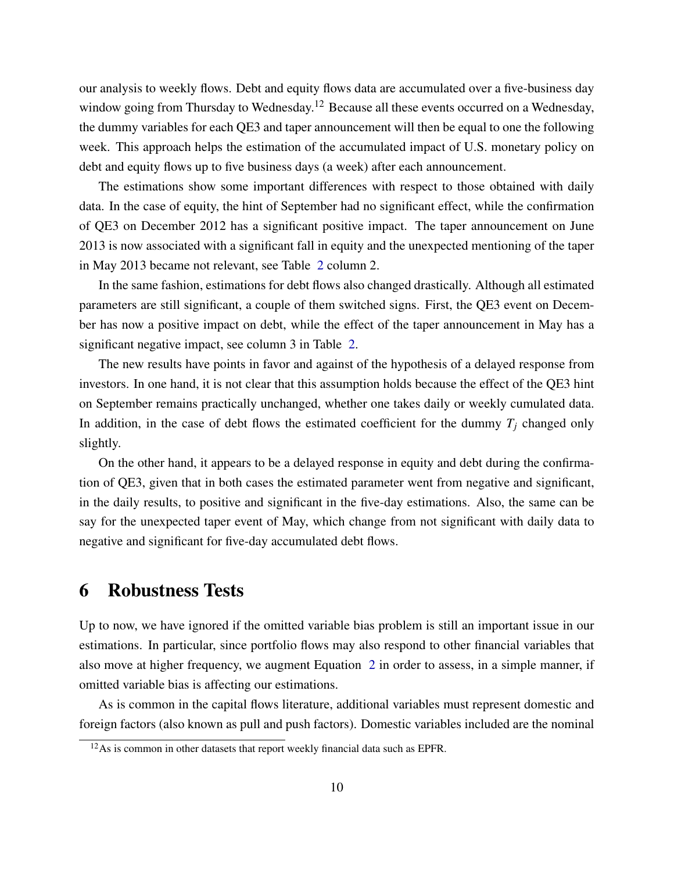our analysis to weekly flows. Debt and equity flows data are accumulated over a five-business day window going from Thursday to Wednesday.<sup>12</sup> Because all these events occurred on a Wednesday, the dummy variables for each QE3 and taper announcement will then be equal to one the following week. This approach helps the estimation of the accumulated impact of U.S. monetary policy on debt and equity flows up to five business days (a week) after each announcement.

The estimations show some important differences with respect to those obtained with daily data. In the case of equity, the hint of September had no significant effect, while the confirmation of QE3 on December 2012 has a significant positive impact. The taper announcement on June 2013 is now associated with a significant fall in equity and the unexpected mentioning of the taper in May 2013 became not relevant, see Table [2](#page-19-0) column 2.

In the same fashion, estimations for debt flows also changed drastically. Although all estimated parameters are still significant, a couple of them switched signs. First, the QE3 event on December has now a positive impact on debt, while the effect of the taper announcement in May has a significant negative impact, see column 3 in Table [2.](#page-19-0)

The new results have points in favor and against of the hypothesis of a delayed response from investors. In one hand, it is not clear that this assumption holds because the effect of the QE3 hint on September remains practically unchanged, whether one takes daily or weekly cumulated data. In addition, in the case of debt flows the estimated coefficient for the dummy  $T_i$  changed only slightly.

On the other hand, it appears to be a delayed response in equity and debt during the confirmation of QE3, given that in both cases the estimated parameter went from negative and significant, in the daily results, to positive and significant in the five-day estimations. Also, the same can be say for the unexpected taper event of May, which change from not significant with daily data to negative and significant for five-day accumulated debt flows.

#### 6 Robustness Tests

Up to now, we have ignored if the omitted variable bias problem is still an important issue in our estimations. In particular, since portfolio flows may also respond to other financial variables that also move at higher frequency, we augment Equation [2](#page-10-0) in order to assess, in a simple manner, if omitted variable bias is affecting our estimations.

As is common in the capital flows literature, additional variables must represent domestic and foreign factors (also known as pull and push factors). Domestic variables included are the nominal

 $12$ As is common in other datasets that report weekly financial data such as EPFR.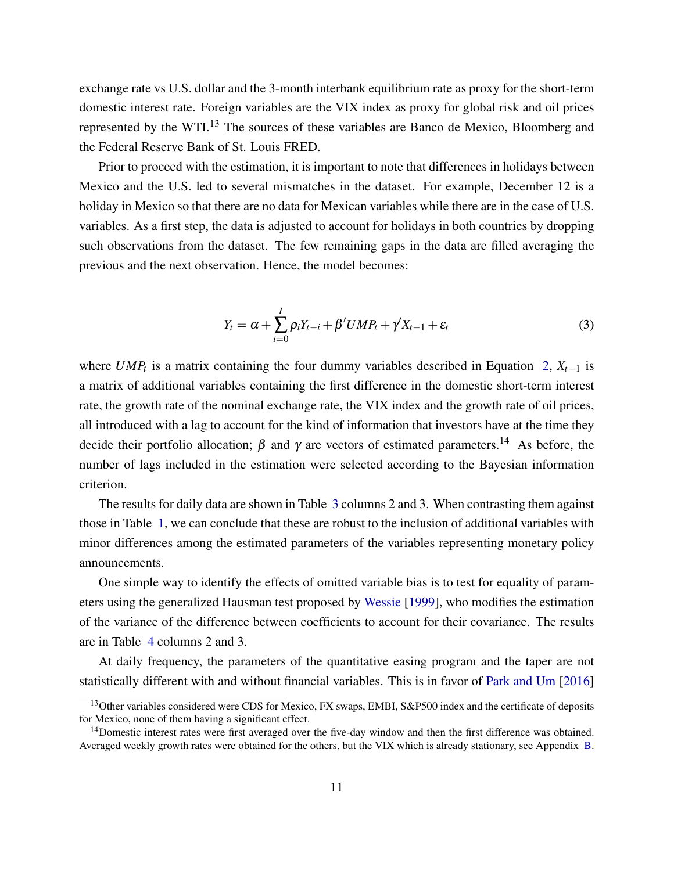exchange rate vs U.S. dollar and the 3-month interbank equilibrium rate as proxy for the short-term domestic interest rate. Foreign variables are the VIX index as proxy for global risk and oil prices represented by the WTI.<sup>13</sup> The sources of these variables are Banco de Mexico, Bloomberg and the Federal Reserve Bank of St. Louis FRED.

Prior to proceed with the estimation, it is important to note that differences in holidays between Mexico and the U.S. led to several mismatches in the dataset. For example, December 12 is a holiday in Mexico so that there are no data for Mexican variables while there are in the case of U.S. variables. As a first step, the data is adjusted to account for holidays in both countries by dropping such observations from the dataset. The few remaining gaps in the data are filled averaging the previous and the next observation. Hence, the model becomes:

$$
Y_t = \alpha + \sum_{i=0}^{I} \rho_i Y_{t-i} + \beta' U M P_t + \gamma' X_{t-1} + \varepsilon_t
$$
\n(3)

where  $UMP_t$  is a matrix containing the four dummy variables described in Equation [2,](#page-10-0)  $X_{t-1}$  is a matrix of additional variables containing the first difference in the domestic short-term interest rate, the growth rate of the nominal exchange rate, the VIX index and the growth rate of oil prices, all introduced with a lag to account for the kind of information that investors have at the time they decide their portfolio allocation;  $\beta$  and  $\gamma$  are vectors of estimated parameters.<sup>14</sup> As before, the number of lags included in the estimation were selected according to the Bayesian information criterion.

The results for daily data are shown in Table [3](#page-20-0) columns 2 and 3. When contrasting them against those in Table [1,](#page-18-0) we can conclude that these are robust to the inclusion of additional variables with minor differences among the estimated parameters of the variables representing monetary policy announcements.

One simple way to identify the effects of omitted variable bias is to test for equality of parameters using the generalized Hausman test proposed by [Wessie](#page-17-2) [\[1999\]](#page-17-2), who modifies the estimation of the variance of the difference between coefficients to account for their covariance. The results are in Table [4](#page-21-0) columns 2 and 3.

At daily frequency, the parameters of the quantitative easing program and the taper are not statistically different with and without financial variables. This is in favor of [Park and Um](#page-17-1) [\[2016\]](#page-17-1)

<sup>&</sup>lt;sup>13</sup>Other variables considered were CDS for Mexico, FX swaps, EMBI, S&P500 index and the certificate of deposits for Mexico, none of them having a significant effect.

<sup>&</sup>lt;sup>14</sup>Domestic interest rates were first averaged over the five-day window and then the first difference was obtained. Averaged weekly growth rates were obtained for the others, but the VIX which is already stationary, see Appendix [B.](#page-28-0)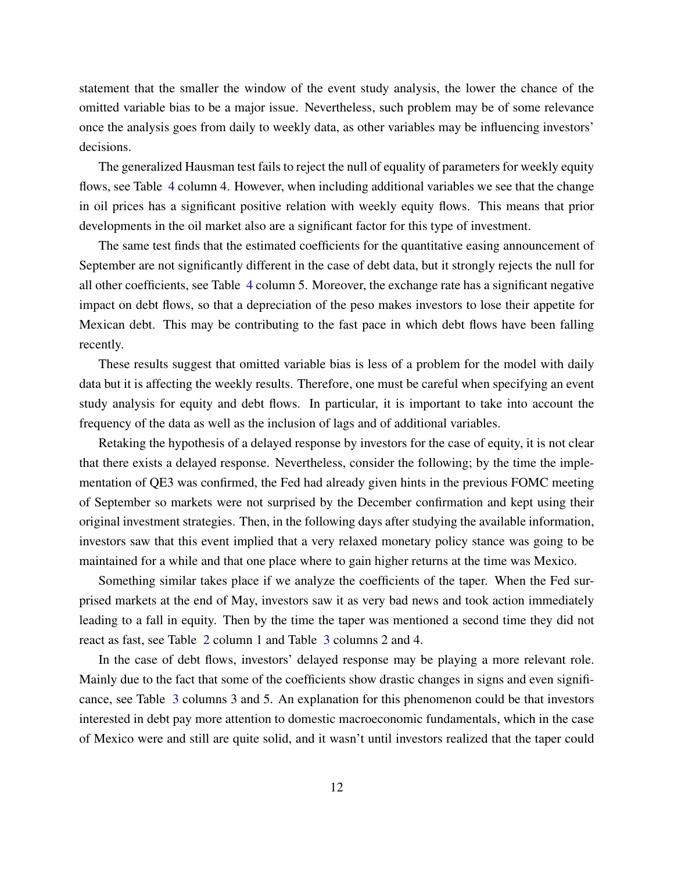statement that the smaller the window of the event study analysis, the lower the chance of the omitted variable bias to be a major issue. Nevertheless, such problem may be of some relevance once the analysis goes from daily to weekly data, as other variables may be influencing investors' decisions.

The generalized Hausman test fails to reject the null of equality of parameters for weekly equity flows, see Table [4](#page-21-0) column 4. However, when including additional variables we see that the change in oil prices has a significant positive relation with weekly equity flows. This means that prior developments in the oil market also are a significant factor for this type of investment.

The same test finds that the estimated coefficients for the quantitative easing announcement of September are not significantly different in the case of debt data, but it strongly rejects the null for all other coefficients, see Table [4](#page-21-0) column 5. Moreover, the exchange rate has a significant negative impact on debt flows, so that a depreciation of the peso makes investors to lose their appetite for Mexican debt. This may be contributing to the fast pace in which debt flows have been falling recently.

These results suggest that omitted variable bias is less of a problem for the model with daily data but it is affecting the weekly results. Therefore, one must be careful when specifying an event study analysis for equity and debt flows. In particular, it is important to take into account the frequency of the data as well as the inclusion of lags and of additional variables.

Retaking the hypothesis of a delayed response by investors for the case of equity, it is not clear that there exists a delayed response. Nevertheless, consider the following; by the time the implementation of QE3 was confirmed, the Fed had already given hints in the previous FOMC meeting of September so markets were not surprised by the December confirmation and kept using their original investment strategies. Then, in the following days after studying the available information, investors saw that this event implied that a very relaxed monetary policy stance was going to be maintained for a while and that one place where to gain higher returns at the time was Mexico.

Something similar takes place if we analyze the coefficients of the taper. When the Fed surprised markets at the end of May, investors saw it as very bad news and took action immediately leading to a fall in equity. Then by the time the taper was mentioned a second time they did not react as fast, see Table [2](#page-19-0) column 1 and Table [3](#page-20-0) columns 2 and 4.

In the case of debt flows, investors' delayed response may be playing a more relevant role. Mainly due to the fact that some of the coefficients show drastic changes in signs and even significance, see Table [3](#page-20-0) columns 3 and 5. An explanation for this phenomenon could be that investors interested in debt pay more attention to domestic macroeconomic fundamentals, which in the case of Mexico were and still are quite solid, and it wasn't until investors realized that the taper could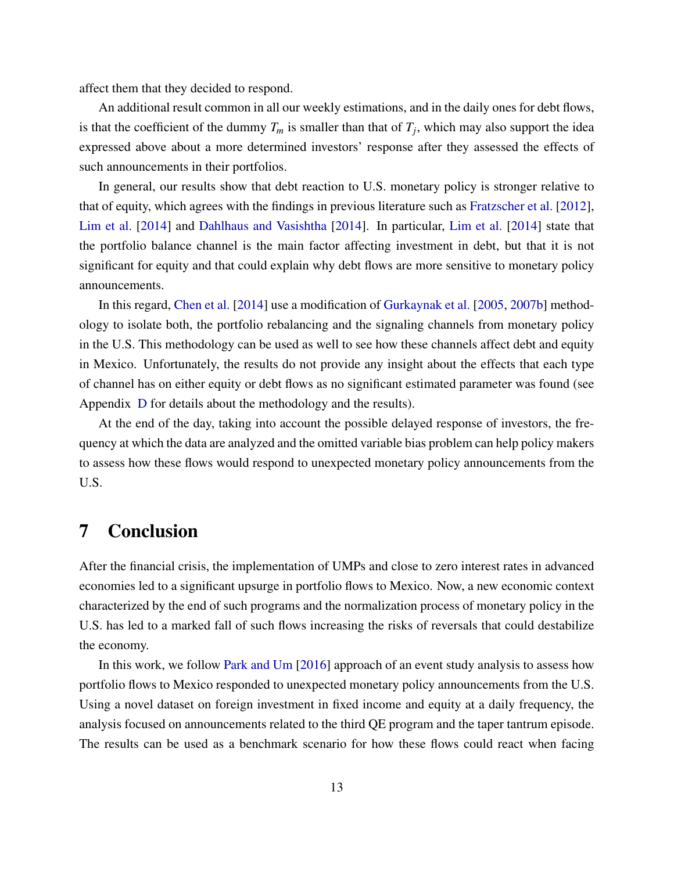affect them that they decided to respond.

An additional result common in all our weekly estimations, and in the daily ones for debt flows, is that the coefficient of the dummy  $T_m$  is smaller than that of  $T_j$ , which may also support the idea expressed above about a more determined investors' response after they assessed the effects of such announcements in their portfolios.

In general, our results show that debt reaction to U.S. monetary policy is stronger relative to that of equity, which agrees with the findings in previous literature such as [Fratzscher et al.](#page-16-6) [\[2012\]](#page-16-6), [Lim et al.](#page-16-7) [\[2014\]](#page-16-7) and [Dahlhaus and Vasishtha](#page-15-2) [\[2014\]](#page-15-2). In particular, [Lim et al.](#page-16-7) [\[2014\]](#page-16-7) state that the portfolio balance channel is the main factor affecting investment in debt, but that it is not significant for equity and that could explain why debt flows are more sensitive to monetary policy announcements.

In this regard, [Chen et al.](#page-15-1) [\[2014\]](#page-15-1) use a modification of [Gurkaynak et al.](#page-16-1) [\[2005,](#page-16-1) [2007b\]](#page-16-2) methodology to isolate both, the portfolio rebalancing and the signaling channels from monetary policy in the U.S. This methodology can be used as well to see how these channels affect debt and equity in Mexico. Unfortunately, the results do not provide any insight about the effects that each type of channel has on either equity or debt flows as no significant estimated parameter was found (see Appendix [D](#page-31-0) for details about the methodology and the results).

At the end of the day, taking into account the possible delayed response of investors, the frequency at which the data are analyzed and the omitted variable bias problem can help policy makers to assess how these flows would respond to unexpected monetary policy announcements from the U.S.

### 7 Conclusion

After the financial crisis, the implementation of UMPs and close to zero interest rates in advanced economies led to a significant upsurge in portfolio flows to Mexico. Now, a new economic context characterized by the end of such programs and the normalization process of monetary policy in the U.S. has led to a marked fall of such flows increasing the risks of reversals that could destabilize the economy.

In this work, we follow [Park and Um](#page-17-1) [\[2016\]](#page-17-1) approach of an event study analysis to assess how portfolio flows to Mexico responded to unexpected monetary policy announcements from the U.S. Using a novel dataset on foreign investment in fixed income and equity at a daily frequency, the analysis focused on announcements related to the third QE program and the taper tantrum episode. The results can be used as a benchmark scenario for how these flows could react when facing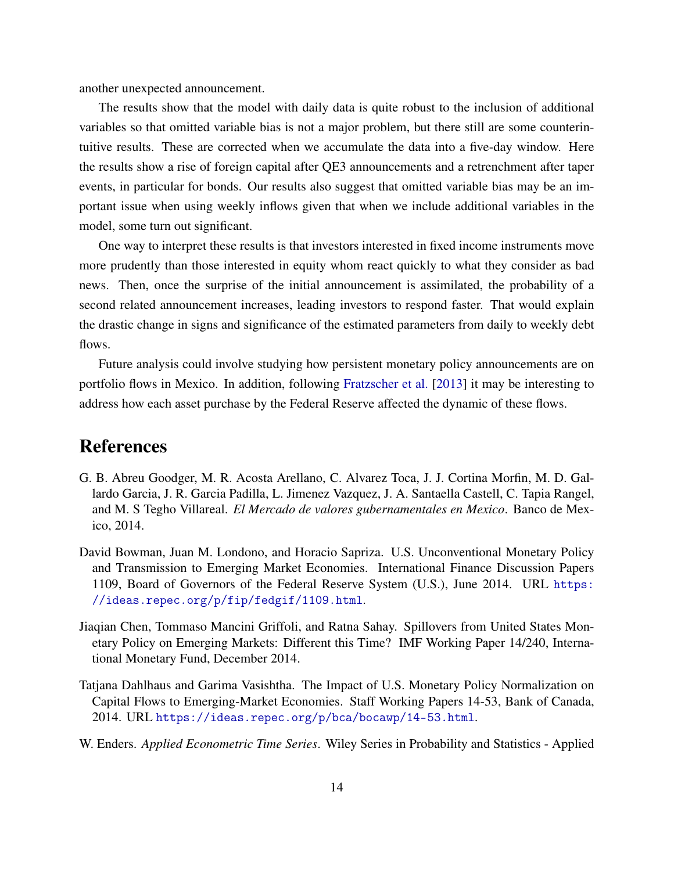another unexpected announcement.

The results show that the model with daily data is quite robust to the inclusion of additional variables so that omitted variable bias is not a major problem, but there still are some counterintuitive results. These are corrected when we accumulate the data into a five-day window. Here the results show a rise of foreign capital after QE3 announcements and a retrenchment after taper events, in particular for bonds. Our results also suggest that omitted variable bias may be an important issue when using weekly inflows given that when we include additional variables in the model, some turn out significant.

One way to interpret these results is that investors interested in fixed income instruments move more prudently than those interested in equity whom react quickly to what they consider as bad news. Then, once the surprise of the initial announcement is assimilated, the probability of a second related announcement increases, leading investors to respond faster. That would explain the drastic change in signs and significance of the estimated parameters from daily to weekly debt flows.

Future analysis could involve studying how persistent monetary policy announcements are on portfolio flows in Mexico. In addition, following [Fratzscher et al.](#page-16-8) [\[2013\]](#page-16-8) it may be interesting to address how each asset purchase by the Federal Reserve affected the dynamic of these flows.

#### References

- <span id="page-15-3"></span>G. B. Abreu Goodger, M. R. Acosta Arellano, C. Alvarez Toca, J. J. Cortina Morfin, M. D. Gallardo Garcia, J. R. Garcia Padilla, L. Jimenez Vazquez, J. A. Santaella Castell, C. Tapia Rangel, and M. S Tegho Villareal. *El Mercado de valores gubernamentales en Mexico*. Banco de Mexico, 2014.
- <span id="page-15-0"></span>David Bowman, Juan M. Londono, and Horacio Sapriza. U.S. Unconventional Monetary Policy and Transmission to Emerging Market Economies. International Finance Discussion Papers 1109, Board of Governors of the Federal Reserve System (U.S.), June 2014. URL [https:](https://ideas.repec.org/p/fip/fedgif/1109.html) [//ideas.repec.org/p/fip/fedgif/1109.html](https://ideas.repec.org/p/fip/fedgif/1109.html).
- <span id="page-15-1"></span>Jiaqian Chen, Tommaso Mancini Griffoli, and Ratna Sahay. Spillovers from United States Monetary Policy on Emerging Markets: Different this Time? IMF Working Paper 14/240, International Monetary Fund, December 2014.
- <span id="page-15-2"></span>Tatjana Dahlhaus and Garima Vasishtha. The Impact of U.S. Monetary Policy Normalization on Capital Flows to Emerging-Market Economies. Staff Working Papers 14-53, Bank of Canada, 2014. URL <https://ideas.repec.org/p/bca/bocawp/14-53.html>.
- <span id="page-15-4"></span>W. Enders. *Applied Econometric Time Series*. Wiley Series in Probability and Statistics - Applied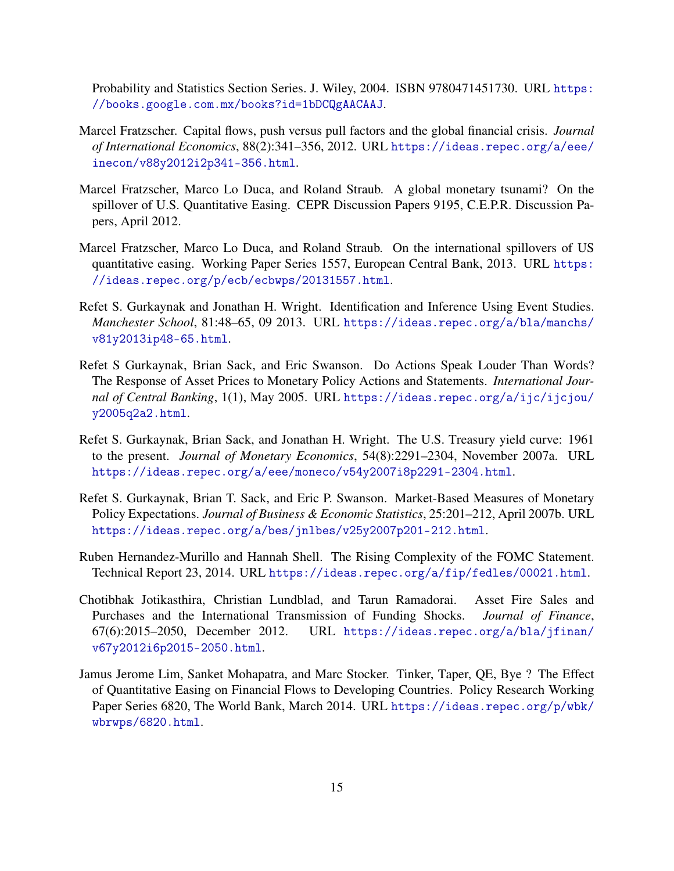Probability and Statistics Section Series. J. Wiley, 2004. ISBN 9780471451730. URL [https:](https://books.google.com.mx/books?id=1bDCQgAACAAJ) [//books.google.com.mx/books?id=1bDCQgAACAAJ](https://books.google.com.mx/books?id=1bDCQgAACAAJ).

- <span id="page-16-0"></span>Marcel Fratzscher. Capital flows, push versus pull factors and the global financial crisis. *Journal of International Economics*, 88(2):341–356, 2012. URL [https://ideas.repec.org/a/eee/](https://ideas.repec.org/a/eee/inecon/v88y2012i2p341-356.html) [inecon/v88y2012i2p341-356.html](https://ideas.repec.org/a/eee/inecon/v88y2012i2p341-356.html).
- <span id="page-16-6"></span>Marcel Fratzscher, Marco Lo Duca, and Roland Straub. A global monetary tsunami? On the spillover of U.S. Quantitative Easing. CEPR Discussion Papers 9195, C.E.P.R. Discussion Papers, April 2012.
- <span id="page-16-8"></span>Marcel Fratzscher, Marco Lo Duca, and Roland Straub. On the international spillovers of US quantitative easing. Working Paper Series 1557, European Central Bank, 2013. URL [https:](https://ideas.repec.org/p/ecb/ecbwps/20131557.html) [//ideas.repec.org/p/ecb/ecbwps/20131557.html](https://ideas.repec.org/p/ecb/ecbwps/20131557.html).
- <span id="page-16-4"></span>Refet S. Gurkaynak and Jonathan H. Wright. Identification and Inference Using Event Studies. *Manchester School*, 81:48–65, 09 2013. URL [https://ideas.repec.org/a/bla/manchs/](https://ideas.repec.org/a/bla/manchs/v81y2013ip48-65.html) [v81y2013ip48-65.html](https://ideas.repec.org/a/bla/manchs/v81y2013ip48-65.html).
- <span id="page-16-1"></span>Refet S Gurkaynak, Brian Sack, and Eric Swanson. Do Actions Speak Louder Than Words? The Response of Asset Prices to Monetary Policy Actions and Statements. *International Journal of Central Banking*, 1(1), May 2005. URL [https://ideas.repec.org/a/ijc/ijcjou/](https://ideas.repec.org/a/ijc/ijcjou/y2005q2a2.html) [y2005q2a2.html](https://ideas.repec.org/a/ijc/ijcjou/y2005q2a2.html).
- <span id="page-16-9"></span>Refet S. Gurkaynak, Brian Sack, and Jonathan H. Wright. The U.S. Treasury yield curve: 1961 to the present. *Journal of Monetary Economics*, 54(8):2291–2304, November 2007a. URL <https://ideas.repec.org/a/eee/moneco/v54y2007i8p2291-2304.html>.
- <span id="page-16-2"></span>Refet S. Gurkaynak, Brian T. Sack, and Eric P. Swanson. Market-Based Measures of Monetary Policy Expectations. *Journal of Business & Economic Statistics*, 25:201–212, April 2007b. URL <https://ideas.repec.org/a/bes/jnlbes/v25y2007p201-212.html>.
- <span id="page-16-5"></span>Ruben Hernandez-Murillo and Hannah Shell. The Rising Complexity of the FOMC Statement. Technical Report 23, 2014. URL <https://ideas.repec.org/a/fip/fedles/00021.html>.
- <span id="page-16-3"></span>Chotibhak Jotikasthira, Christian Lundblad, and Tarun Ramadorai. Asset Fire Sales and Purchases and the International Transmission of Funding Shocks. *Journal of Finance*, 67(6):2015–2050, December 2012. URL [https://ideas.repec.org/a/bla/jfinan/](https://ideas.repec.org/a/bla/jfinan/v67y2012i6p2015-2050.html) [v67y2012i6p2015-2050.html](https://ideas.repec.org/a/bla/jfinan/v67y2012i6p2015-2050.html).
- <span id="page-16-7"></span>Jamus Jerome Lim, Sanket Mohapatra, and Marc Stocker. Tinker, Taper, QE, Bye ? The Effect of Quantitative Easing on Financial Flows to Developing Countries. Policy Research Working Paper Series 6820, The World Bank, March 2014. URL [https://ideas.repec.org/p/wbk/](https://ideas.repec.org/p/wbk/wbrwps/6820.html) [wbrwps/6820.html](https://ideas.repec.org/p/wbk/wbrwps/6820.html).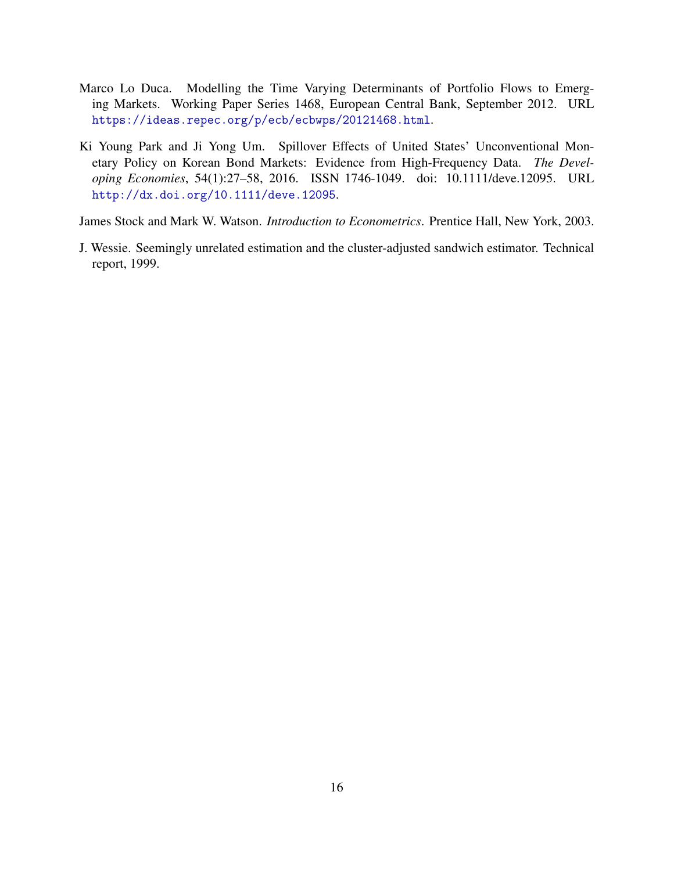- <span id="page-17-0"></span>Marco Lo Duca. Modelling the Time Varying Determinants of Portfolio Flows to Emerging Markets. Working Paper Series 1468, European Central Bank, September 2012. URL <https://ideas.repec.org/p/ecb/ecbwps/20121468.html>.
- <span id="page-17-1"></span>Ki Young Park and Ji Yong Um. Spillover Effects of United States' Unconventional Monetary Policy on Korean Bond Markets: Evidence from High-Frequency Data. *The Developing Economies*, 54(1):27–58, 2016. ISSN 1746-1049. doi: 10.1111/deve.12095. URL <http://dx.doi.org/10.1111/deve.12095>.

<span id="page-17-3"></span>James Stock and Mark W. Watson. *Introduction to Econometrics*. Prentice Hall, New York, 2003.

<span id="page-17-2"></span>J. Wessie. Seemingly unrelated estimation and the cluster-adjusted sandwich estimator. Technical report, 1999.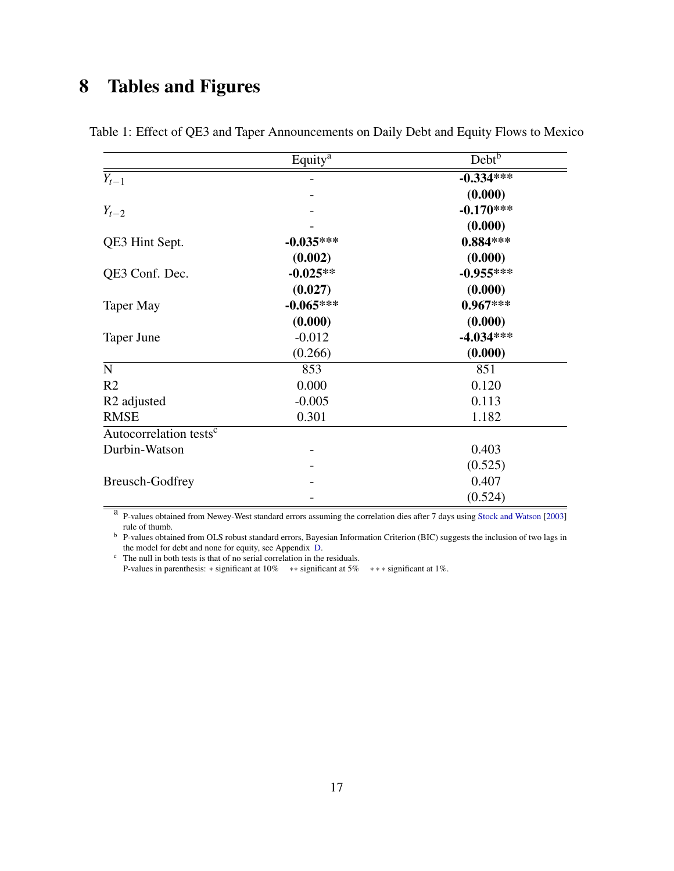# 8 Tables and Figures

<span id="page-18-0"></span>

|                                    | Equity <sup>a</sup> | Debt <sup>b</sup> |
|------------------------------------|---------------------|-------------------|
| $Y_{t-1}$                          |                     | $-0.334***$       |
|                                    |                     | (0.000)           |
| $Y_{t-2}$                          |                     | $-0.170***$       |
|                                    |                     | (0.000)           |
| QE3 Hint Sept.                     | $-0.035***$         | $0.884***$        |
|                                    | (0.002)             | (0.000)           |
| QE3 Conf. Dec.                     | $-0.025**$          | $-0.955***$       |
|                                    | (0.027)             | (0.000)           |
| <b>Taper May</b>                   | $-0.065***$         | $0.967***$        |
|                                    | (0.000)             | (0.000)           |
| Taper June                         | $-0.012$            | $-4.034***$       |
|                                    | (0.266)             | (0.000)           |
| $\mathbf N$                        | 853                 | 851               |
| R <sub>2</sub>                     | 0.000               | 0.120             |
| R <sub>2</sub> adjusted            | $-0.005$            | 0.113             |
| <b>RMSE</b>                        | 0.301               | 1.182             |
| Autocorrelation tests <sup>c</sup> |                     |                   |
| Durbin-Watson                      |                     | 0.403             |
|                                    |                     | (0.525)           |
| <b>Breusch-Godfrey</b>             |                     | 0.407             |
|                                    |                     | (0.524)           |

Table 1: Effect of QE3 and Taper Announcements on Daily Debt and Equity Flows to Mexico

<sup>a</sup> P-values obtained from Newey-West standard errors assuming the correlation dies after 7 days using [Stock and Watson](#page-17-3) [\[2003\]](#page-17-3) rule of thumb.

b P-values obtained from OLS robust standard errors, Bayesian Information Criterion (BIC) suggests the inclusion of two lags in the model for debt and none for equity, see Appendix [D.](#page-31-0)

<sup>c</sup> The null in both tests is that of no serial correlation in the residuals.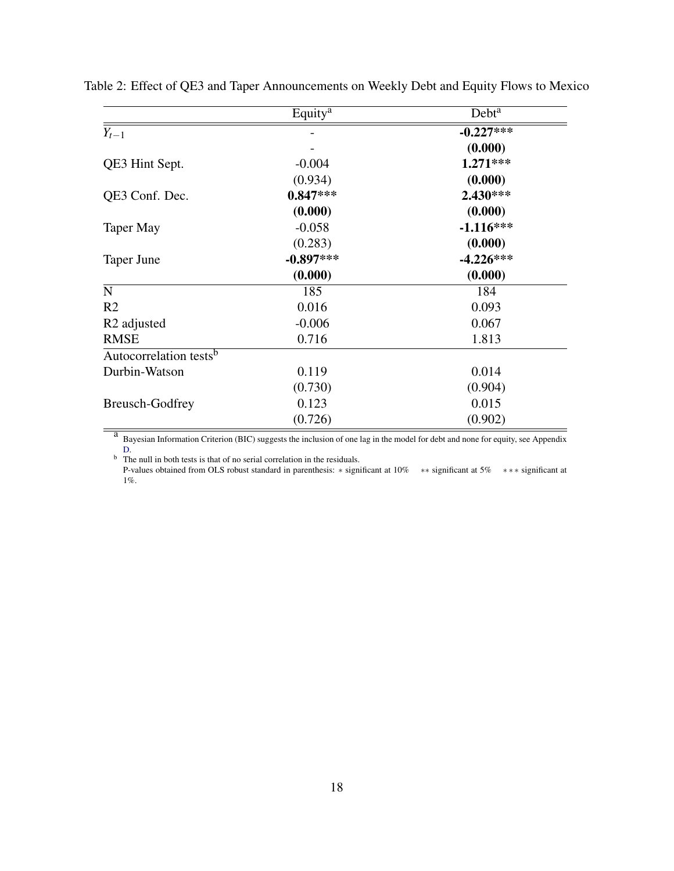|                                    | Equity <sup>a</sup> | Debt <sup>a</sup> |
|------------------------------------|---------------------|-------------------|
| $Y_{t-1}$                          |                     | $-0.227***$       |
|                                    |                     | (0.000)           |
| QE3 Hint Sept.                     | $-0.004$            | 1.271***          |
|                                    | (0.934)             | (0.000)           |
| QE3 Conf. Dec.                     | $0.847***$          | 2.430***          |
|                                    | (0.000)             | (0.000)           |
| <b>Taper May</b>                   | $-0.058$            | $-1.116***$       |
|                                    | (0.283)             | (0.000)           |
| Taper June                         | $-0.897***$         | $-4.226***$       |
|                                    | (0.000)             | (0.000)           |
| $\mathbf N$                        | 185                 | 184               |
| R <sub>2</sub>                     | 0.016               | 0.093             |
| R <sub>2</sub> adjusted            | $-0.006$            | 0.067             |
| <b>RMSE</b>                        | 0.716               | 1.813             |
| Autocorrelation tests <sup>b</sup> |                     |                   |
| Durbin-Watson                      | 0.119               | 0.014             |
|                                    | (0.730)             | (0.904)           |
| <b>Breusch-Godfrey</b>             | 0.123               | 0.015             |
|                                    | (0.726)             | (0.902)           |

<span id="page-19-0"></span>Table 2: Effect of QE3 and Taper Announcements on Weekly Debt and Equity Flows to Mexico

a Bayesian Information Criterion (BIC) suggests the inclusion of one lag in the model for debt and none for equity, see Appendix [D.](#page-31-0)

 $\overrightarrow{b}$  The null in both tests is that of no serial correlation in the residuals.

P-values obtained from OLS robust standard in parenthesis: ∗ significant at 10% ∗∗ significant at 5% ∗ ∗ ∗ significant at 1%.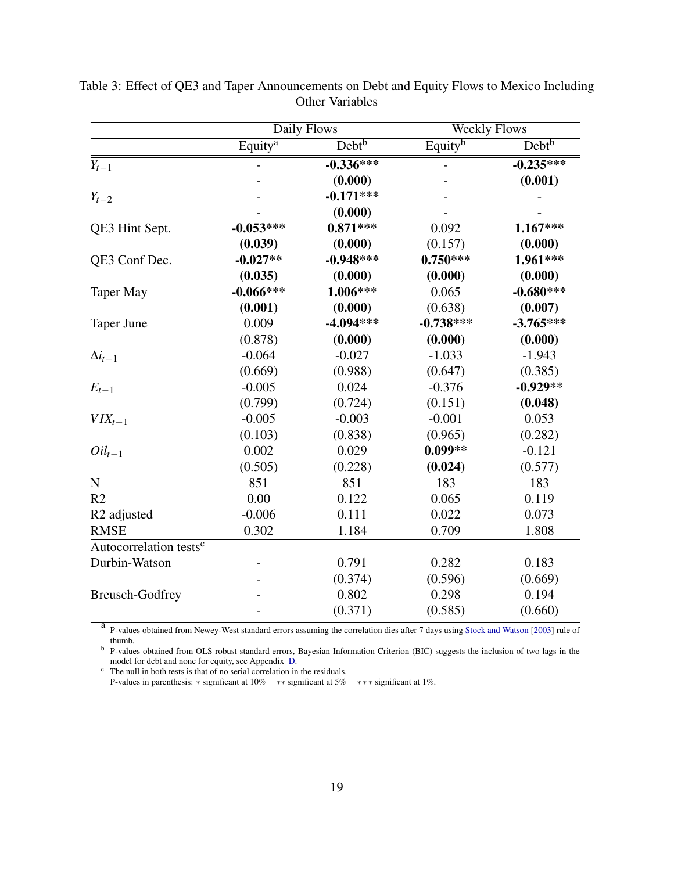<span id="page-20-0"></span>

|                                    | Daily Flows         |                   | <b>Weekly Flows</b> |             |
|------------------------------------|---------------------|-------------------|---------------------|-------------|
|                                    | Equity <sup>a</sup> | Debt <sup>b</sup> | Equity <sup>b</sup> | $Debt^b$    |
| $Y_{t-1}$                          |                     | $-0.336***$       |                     | $-0.235***$ |
|                                    |                     | (0.000)           |                     | (0.001)     |
| $Y_{t-2}$                          |                     | $-0.171***$       |                     |             |
|                                    |                     | (0.000)           |                     |             |
| QE3 Hint Sept.                     | $-0.053***$         | $0.871***$        | 0.092               | 1.167***    |
|                                    | (0.039)             | (0.000)           | (0.157)             | (0.000)     |
| QE3 Conf Dec.                      | $-0.027**$          | $-0.948***$       | $0.750***$          | 1.961***    |
|                                    | (0.035)             | (0.000)           | (0.000)             | (0.000)     |
| <b>Taper May</b>                   | $-0.066***$         | 1.006***          | 0.065               | $-0.680***$ |
|                                    | (0.001)             | (0.000)           | (0.638)             | (0.007)     |
| <b>Taper June</b>                  | 0.009               | $-4.094***$       | $-0.738***$         | $-3.765***$ |
|                                    | (0.878)             | (0.000)           | (0.000)             | (0.000)     |
| $\Delta i_{t-1}$                   | $-0.064$            | $-0.027$          | $-1.033$            | $-1.943$    |
|                                    | (0.669)             | (0.988)           | (0.647)             | (0.385)     |
| $E_{t-1}$                          | $-0.005$            | 0.024             | $-0.376$            | $-0.929**$  |
|                                    | (0.799)             | (0.724)           | (0.151)             | (0.048)     |
| $VIX_{t-1}$                        | $-0.005$            | $-0.003$          | $-0.001$            | 0.053       |
|                                    | (0.103)             | (0.838)           | (0.965)             | (0.282)     |
| $Oil_{t-1}$                        | 0.002               | 0.029             | $0.099**$           | $-0.121$    |
|                                    | (0.505)             | (0.228)           | (0.024)             | (0.577)     |
| $\mathbf N$                        | 851                 | 851               | 183                 | 183         |
| R <sub>2</sub>                     | 0.00                | 0.122             | 0.065               | 0.119       |
| R <sub>2</sub> adjusted            | $-0.006$            | 0.111             | 0.022               | 0.073       |
| <b>RMSE</b>                        | 0.302               | 1.184             | 0.709               | 1.808       |
| Autocorrelation tests <sup>c</sup> |                     |                   |                     |             |
| Durbin-Watson                      |                     | 0.791             | 0.282               | 0.183       |
|                                    |                     | (0.374)           | (0.596)             | (0.669)     |
| <b>Breusch-Godfrey</b>             |                     | 0.802             | 0.298               | 0.194       |
|                                    |                     | (0.371)           | (0.585)             | (0.660)     |

Table 3: Effect of QE3 and Taper Announcements on Debt and Equity Flows to Mexico Including Other Variables

<sup>a</sup> P-values obtained from Newey-West standard errors assuming the correlation dies after 7 days using [Stock and Watson](#page-17-3) [\[2003\]](#page-17-3) rule of thumb.

<sup>b</sup> P-values obtained from OLS robust standard errors, Bayesian Information Criterion (BIC) suggests the inclusion of two lags in the model for debt and none for equity, see Appendix [D.](#page-31-0)

 $\epsilon$  The null in both tests is that of no serial correlation in the residuals.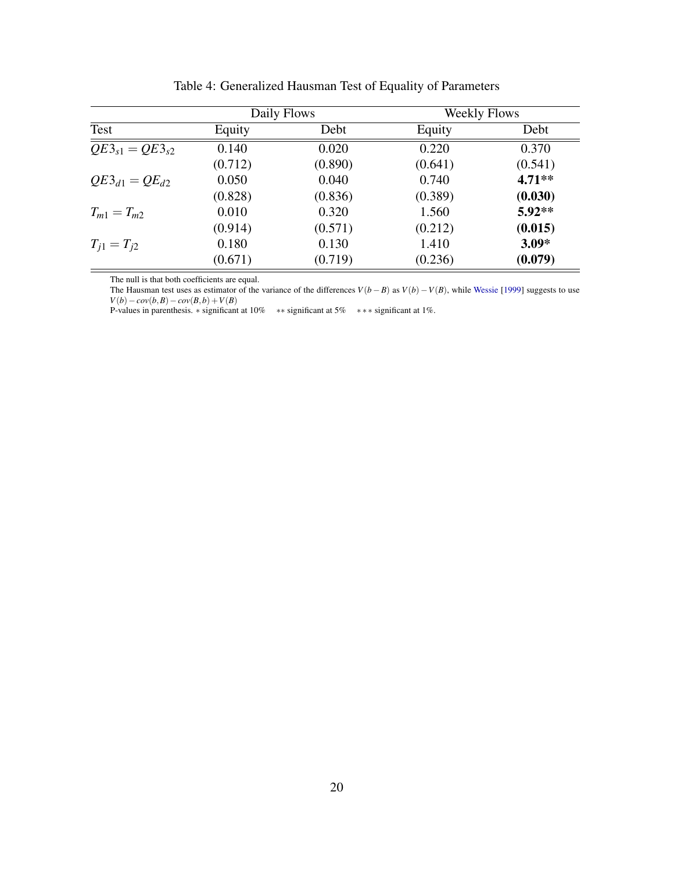<span id="page-21-0"></span>

|                                  |         | Daily Flows |         | <b>Weekly Flows</b> |
|----------------------------------|---------|-------------|---------|---------------------|
| Test                             | Equity  | Debt        | Equity  | Debt                |
| $\overline{QE3_{s1}} = QE3_{s2}$ | 0.140   | 0.020       | 0.220   | 0.370               |
|                                  | (0.712) | (0.890)     | (0.641) | (0.541)             |
| $QE3_{d1} = QE_{d2}$             | 0.050   | 0.040       | 0.740   | $4.71**$            |
|                                  | (0.828) | (0.836)     | (0.389) | (0.030)             |
| $T_{m1} = T_{m2}$                | 0.010   | 0.320       | 1.560   | $5.92**$            |
|                                  | (0.914) | (0.571)     | (0.212) | (0.015)             |
| $T_{i1} = T_{i2}$                | 0.180   | 0.130       | 1.410   | $3.09*$             |
|                                  | (0.671) | (0.719)     | (0.236) | (0.079)             |

Table 4: Generalized Hausman Test of Equality of Parameters

The null is that both coefficients are equal.

The Hausman test uses as estimator of the variance of the differences *V*(*b*−*B*) as *V*(*b*)−*V*(*B*), while [Wessie](#page-17-2) [\[1999\]](#page-17-2) suggests to use *V*(*b*)−*cov*(*b*,*B*)−*cov*(*B*,*b*) +*V*(*B*)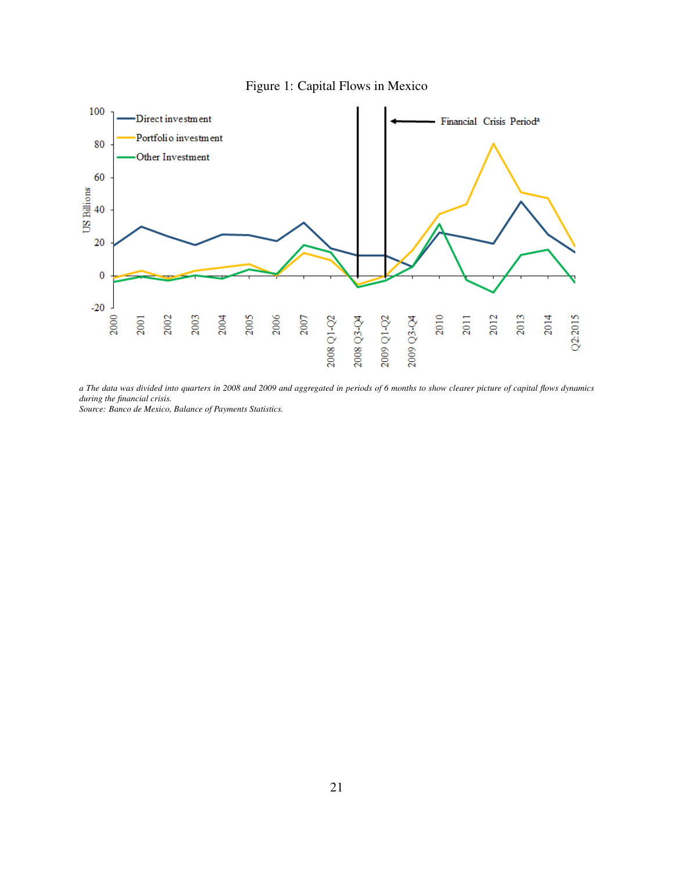

<span id="page-22-0"></span>

*a The data was divided into quarters in 2008 and 2009 and aggregated in periods of 6 months to show clearer picture of capital flows dynamics during the financial crisis.*

*Source: Banco de Mexico, Balance of Payments Statistics.*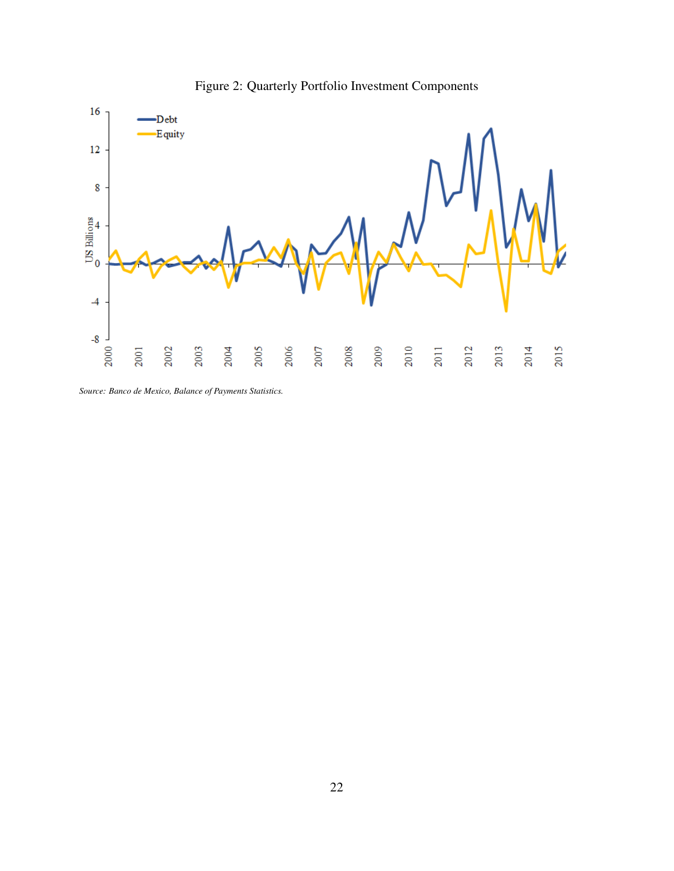<span id="page-23-0"></span>

Figure 2: Quarterly Portfolio Investment Components

*Source: Banco de Mexico, Balance of Payments Statistics.*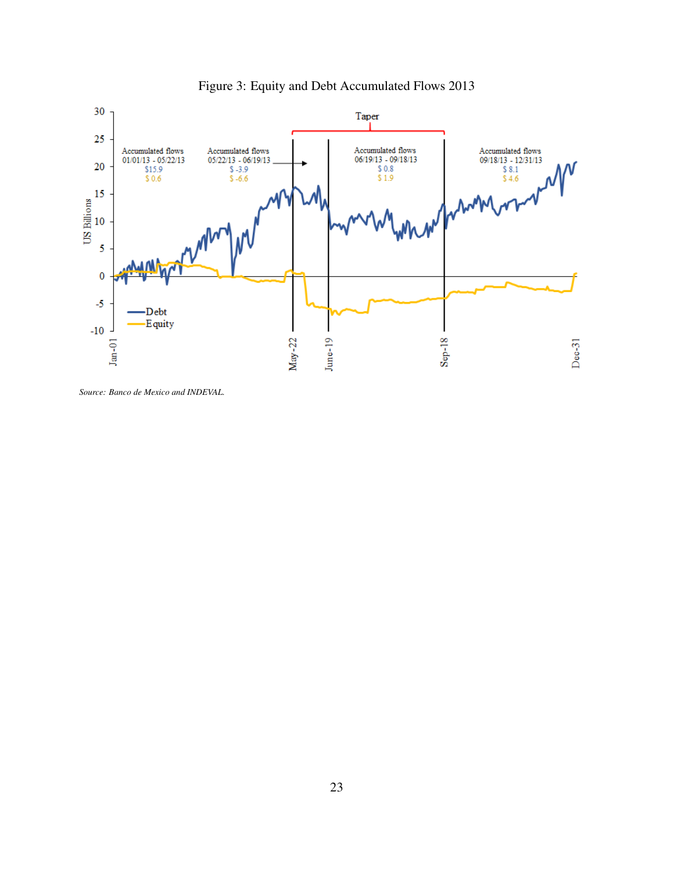<span id="page-24-0"></span>

Figure 3: Equity and Debt Accumulated Flows 2013

*Source: Banco de Mexico and INDEVAL.*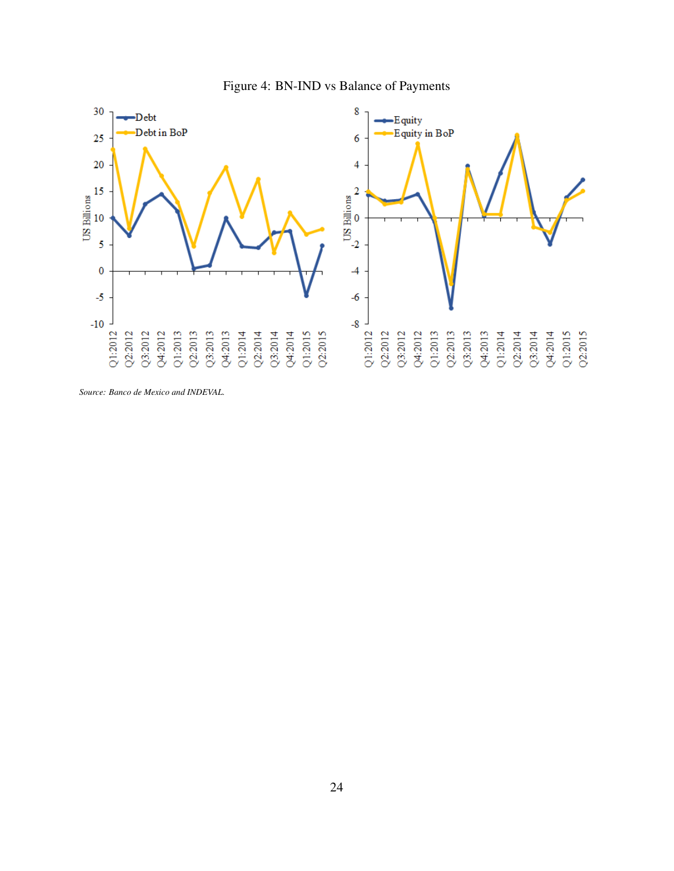

<span id="page-25-0"></span>

*Source: Banco de Mexico and INDEVAL.*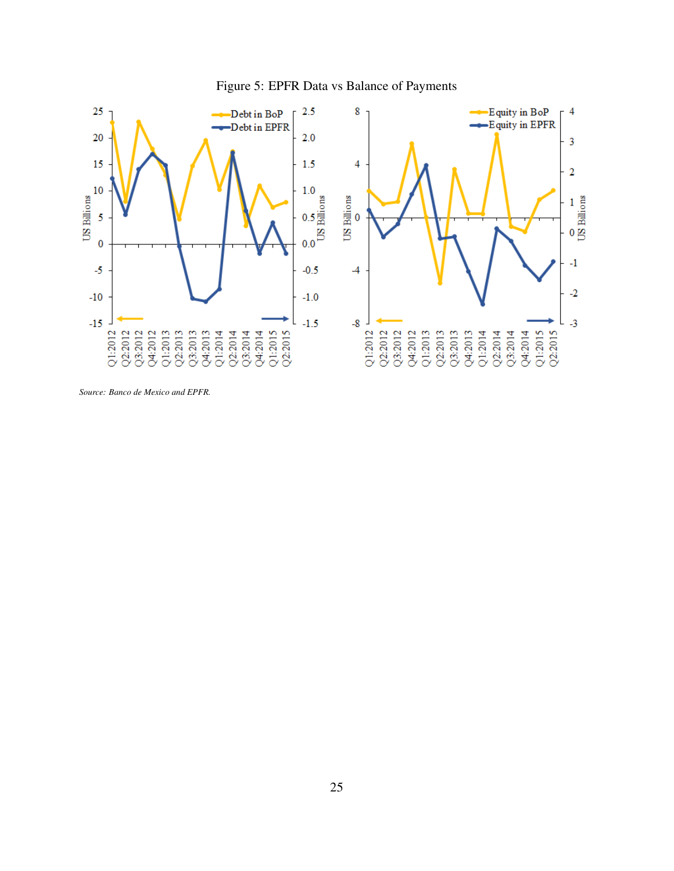<span id="page-26-0"></span>

Figure 5: EPFR Data vs Balance of Payments

*Source: Banco de Mexico and EPFR.*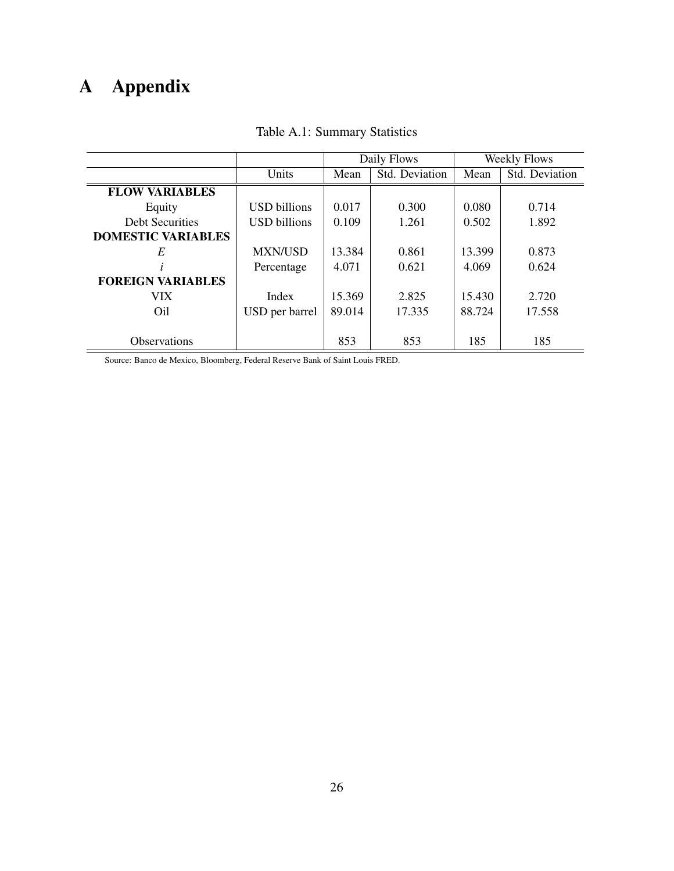# A Appendix

|                           |                     | Daily Flows |                | <b>Weekly Flows</b> |                |
|---------------------------|---------------------|-------------|----------------|---------------------|----------------|
|                           | Units               | Mean        | Std. Deviation | Mean                | Std. Deviation |
| <b>FLOW VARIABLES</b>     |                     |             |                |                     |                |
| Equity                    | <b>USD</b> billions | 0.017       | 0.300          | 0.080               | 0.714          |
| <b>Debt Securities</b>    | <b>USD</b> billions | 0.109       | 1.261          | 0.502               | 1.892          |
| <b>DOMESTIC VARIABLES</b> |                     |             |                |                     |                |
| E                         | <b>MXN/USD</b>      | 13.384      | 0.861          | 13.399              | 0.873          |
|                           | Percentage          | 4.071       | 0.621          | 4.069               | 0.624          |
| <b>FOREIGN VARIABLES</b>  |                     |             |                |                     |                |
| VIX.                      | Index               | 15.369      | 2.825          | 15.430              | 2.720          |
| Oil                       | USD per barrel      | 89.014      | 17.335         | 88.724              | 17.558         |
|                           |                     |             |                |                     |                |
| <b>Observations</b>       |                     | 853         | 853            | 185                 | 185            |

#### Table A.1: Summary Statistics

Source: Banco de Mexico, Bloomberg, Federal Reserve Bank of Saint Louis FRED.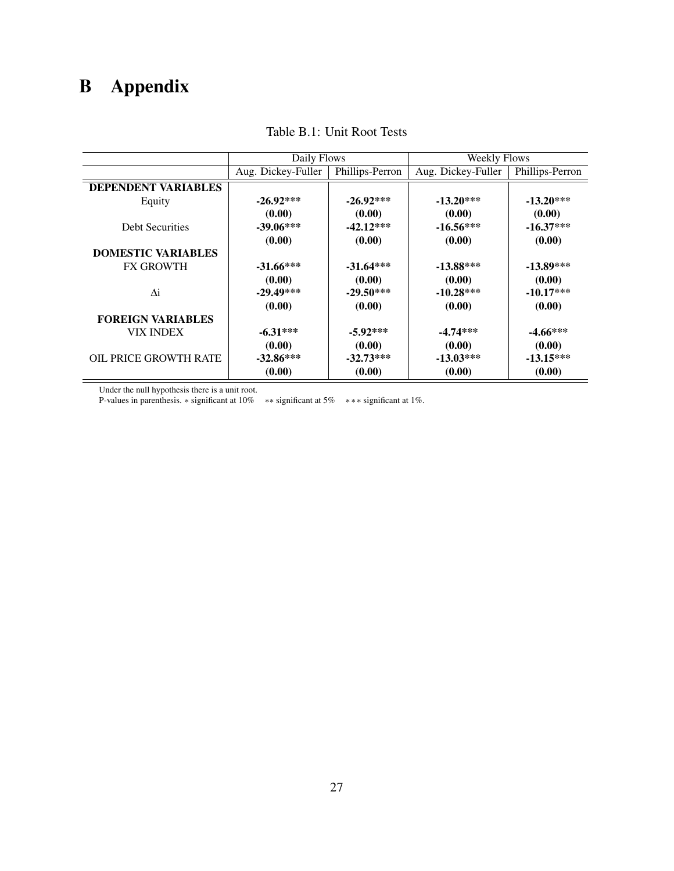# <span id="page-28-0"></span>B Appendix

|                              | Daily Flows        |                 | <b>Weekly Flows</b> |                 |  |
|------------------------------|--------------------|-----------------|---------------------|-----------------|--|
|                              | Aug. Dickey-Fuller | Phillips-Perron | Aug. Dickey-Fuller  | Phillips-Perron |  |
| <b>DEPENDENT VARIABLES</b>   |                    |                 |                     |                 |  |
| Equity                       | $-26.92***$        | $-26.92***$     | $-13.20***$         | $-13.20***$     |  |
|                              | (0.00)             | (0.00)          | (0.00)              | (0.00)          |  |
| <b>Debt Securities</b>       | $-39.06***$        | $-42.12***$     | $-16.56***$         | $-16.37***$     |  |
|                              | (0.00)             | (0.00)          | (0.00)              | (0.00)          |  |
| <b>DOMESTIC VARIABLES</b>    |                    |                 |                     |                 |  |
| <b>FX GROWTH</b>             | $-31.66***$        | $-31.64***$     | $-13.88***$         | $-13.89***$     |  |
|                              | (0.00)             | (0.00)          | (0.00)              | (0.00)          |  |
| Δi                           | $-29.49***$        | $-29.50***$     | $-10.28***$         | $-10.17***$     |  |
|                              | (0.00)             | (0.00)          | (0.00)              | (0.00)          |  |
| <b>FOREIGN VARIABLES</b>     |                    |                 |                     |                 |  |
| <b>VIX INDEX</b>             | $-6.31***$         | $-5.92***$      | $-4.74***$          | $-4.66***$      |  |
|                              | (0.00)             | (0.00)          | (0.00)              | (0.00)          |  |
| <b>OIL PRICE GROWTH RATE</b> | $-32.86***$        | $-32.73***$     | $-13.03***$         | $-13.15***$     |  |
|                              | (0.00)             | (0.00)          | (0.00)              | (0.00)          |  |

Table B.1: Unit Root Tests

Under the null hypothesis there is a unit root.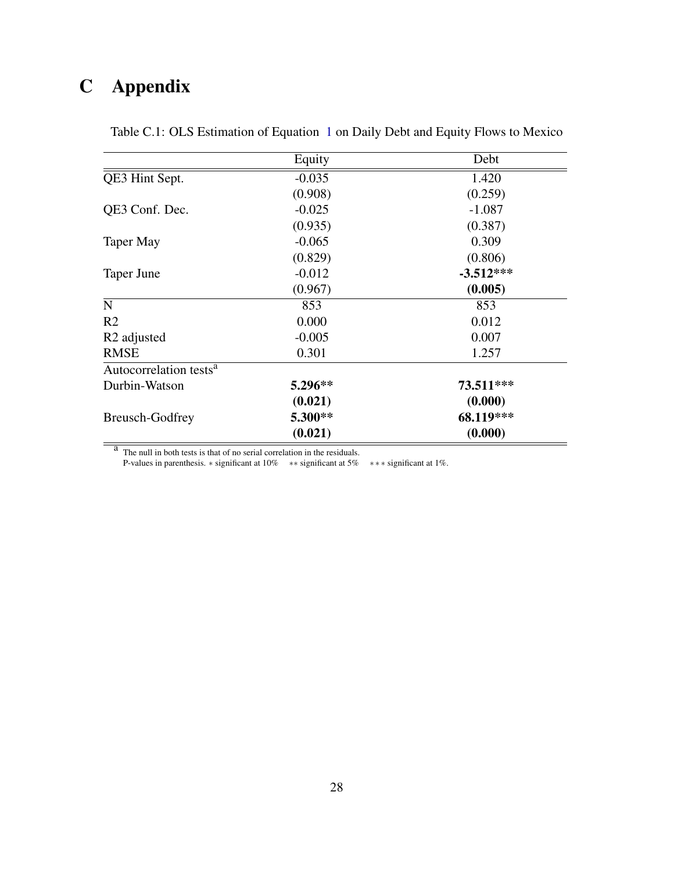# <span id="page-29-0"></span>C Appendix

|                                    | Equity   | Debt        |
|------------------------------------|----------|-------------|
| QE3 Hint Sept.                     | $-0.035$ | 1.420       |
|                                    | (0.908)  | (0.259)     |
| QE3 Conf. Dec.                     | $-0.025$ | $-1.087$    |
|                                    | (0.935)  | (0.387)     |
| Taper May                          | $-0.065$ | 0.309       |
|                                    | (0.829)  | (0.806)     |
| Taper June                         | $-0.012$ | $-3.512***$ |
|                                    | (0.967)  | (0.005)     |
| N                                  | 853      | 853         |
| R <sub>2</sub>                     | 0.000    | 0.012       |
| R <sub>2</sub> adjusted            | $-0.005$ | 0.007       |
| <b>RMSE</b>                        | 0.301    | 1.257       |
| Autocorrelation tests <sup>a</sup> |          |             |
| Durbin-Watson                      | 5.296**  | 73.511***   |
|                                    | (0.021)  | (0.000)     |
| <b>Breusch-Godfrey</b>             | 5.300**  | 68.119***   |
|                                    | (0.021)  | (0.000)     |

Table C.1: OLS Estimation of Equation [1](#page-9-0) on Daily Debt and Equity Flows to Mexico

<sup>a</sup> The null in both tests is that of no serial correlation in the residuals.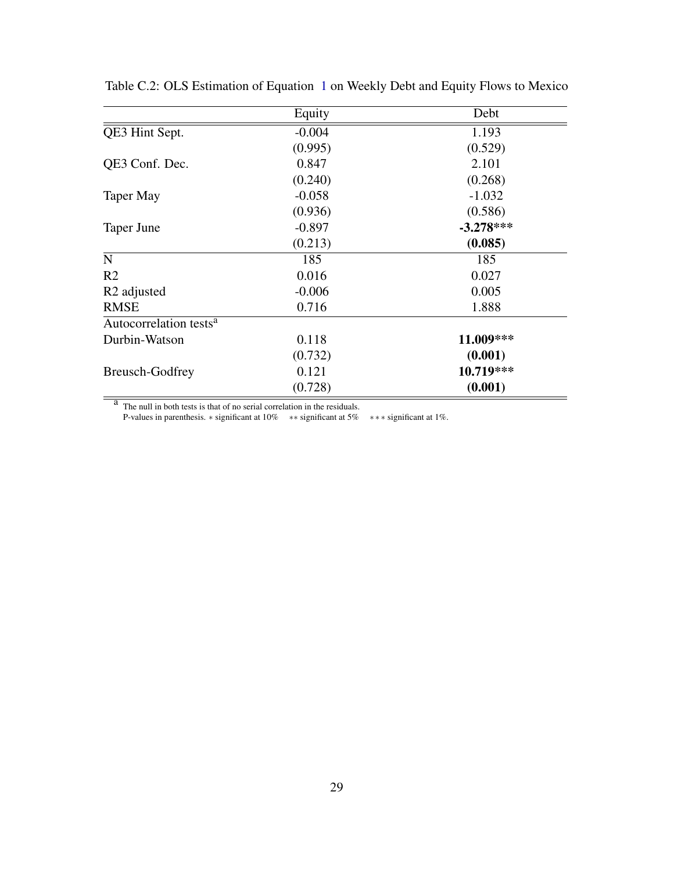|                                    | Equity   | Debt        |
|------------------------------------|----------|-------------|
| QE3 Hint Sept.                     | $-0.004$ | 1.193       |
|                                    | (0.995)  | (0.529)     |
| QE3 Conf. Dec.                     | 0.847    | 2.101       |
|                                    | (0.240)  | (0.268)     |
| Taper May                          | $-0.058$ | $-1.032$    |
|                                    | (0.936)  | (0.586)     |
| Taper June                         | $-0.897$ | $-3.278***$ |
|                                    | (0.213)  | (0.085)     |
| ${\bf N}$                          | 185      | 185         |
| R <sub>2</sub>                     | 0.016    | 0.027       |
| R <sub>2</sub> adjusted            | $-0.006$ | 0.005       |
| <b>RMSE</b>                        | 0.716    | 1.888       |
| Autocorrelation tests <sup>a</sup> |          |             |
| Durbin-Watson                      | 0.118    | 11.009***   |
|                                    | (0.732)  | (0.001)     |
| <b>Breusch-Godfrey</b>             | 0.121    | 10.719***   |
|                                    | (0.728)  | (0.001)     |

Table C.2: OLS Estimation of Equation [1](#page-9-0) on Weekly Debt and Equity Flows to Mexico

 $\frac{a}{b}$  The null in both tests is that of no serial correlation in the residuals.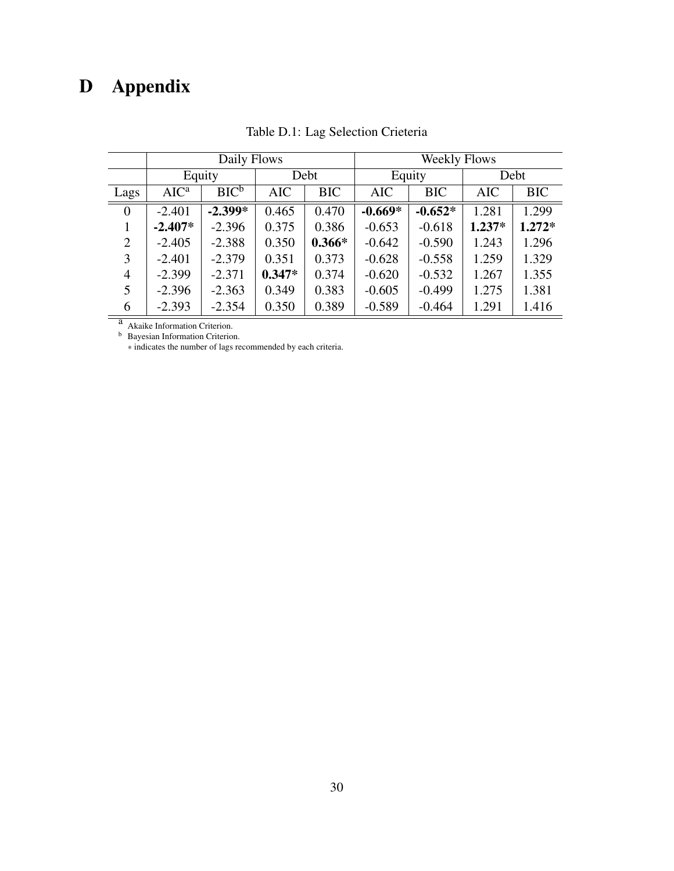# <span id="page-31-0"></span>D Appendix

<span id="page-31-1"></span>

|                | Daily Flows |           |            |            | <b>Weekly Flows</b> |            |            |            |  |
|----------------|-------------|-----------|------------|------------|---------------------|------------|------------|------------|--|
|                |             | Equity    |            | Debt       |                     | Equity     |            | Debt       |  |
| Lags           | $AIC^a$     | $BIC^b$   | <b>AIC</b> | <b>BIC</b> | <b>AIC</b>          | <b>BIC</b> | <b>AIC</b> | <b>BIC</b> |  |
| $\overline{0}$ | $-2.401$    | $-2.399*$ | 0.465      | 0.470      | $-0.669*$           | $-0.652*$  | 1.281      | 1.299      |  |
|                | $-2.407*$   | $-2.396$  | 0.375      | 0.386      | $-0.653$            | $-0.618$   | $1.237*$   | $1.272*$   |  |
| $\overline{2}$ | $-2.405$    | $-2.388$  | 0.350      | $0.366*$   | $-0.642$            | $-0.590$   | 1.243      | 1.296      |  |
| 3              | $-2.401$    | $-2.379$  | 0.351      | 0.373      | $-0.628$            | $-0.558$   | 1.259      | 1.329      |  |
| 4              | $-2.399$    | $-2.371$  | $0.347*$   | 0.374      | $-0.620$            | $-0.532$   | 1.267      | 1.355      |  |
| 5              | $-2.396$    | $-2.363$  | 0.349      | 0.383      | $-0.605$            | $-0.499$   | 1.275      | 1.381      |  |
| 6              | $-2.393$    | $-2.354$  | 0.350      | 0.389      | $-0.589$            | $-0.464$   | 1.291      | 1.416      |  |

Table D.1: Lag Selection Crieteria

a Akaike Information Criterion.

**b** Bayesian Information Criterion.

∗ indicates the number of lags recommended by each criteria.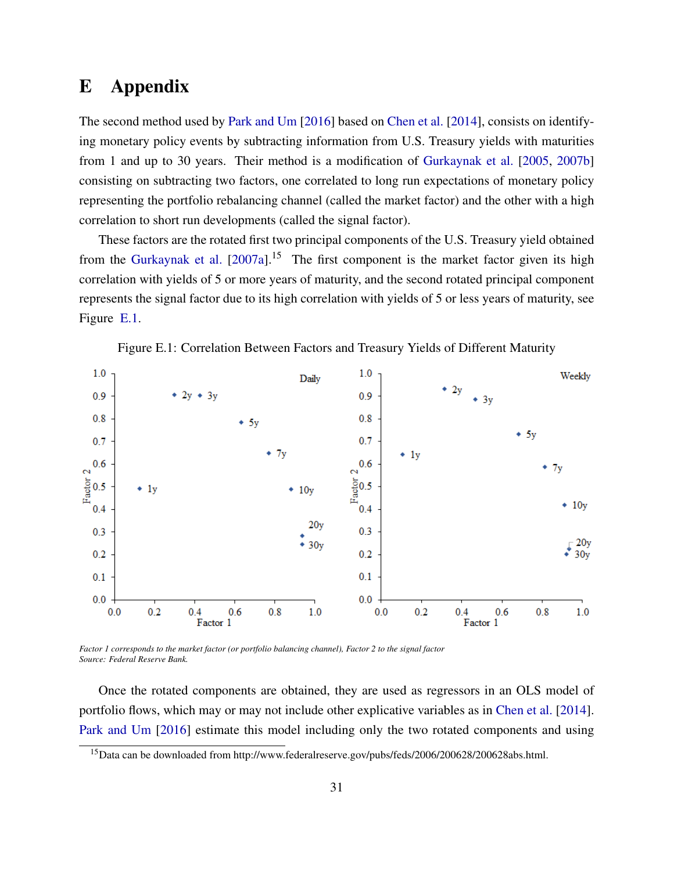## E Appendix

The second method used by [Park and Um](#page-17-1) [\[2016\]](#page-17-1) based on [Chen et al.](#page-15-1) [\[2014\]](#page-15-1), consists on identifying monetary policy events by subtracting information from U.S. Treasury yields with maturities from 1 and up to 30 years. Their method is a modification of [Gurkaynak et al.](#page-16-1) [\[2005,](#page-16-1) [2007b\]](#page-16-2) consisting on subtracting two factors, one correlated to long run expectations of monetary policy representing the portfolio rebalancing channel (called the market factor) and the other with a high correlation to short run developments (called the signal factor).

These factors are the rotated first two principal components of the U.S. Treasury yield obtained from the [Gurkaynak et al.](#page-16-9)  $[2007a]$ <sup>15</sup> The first component is the market factor given its high correlation with yields of 5 or more years of maturity, and the second rotated principal component represents the signal factor due to its high correlation with yields of 5 or less years of maturity, see Figure [E.1.](#page-32-0)

<span id="page-32-0"></span>



*Factor 1 corresponds to the market factor (or portfolio balancing channel), Factor 2 to the signal factor Source: Federal Reserve Bank.*

Once the rotated components are obtained, they are used as regressors in an OLS model of portfolio flows, which may or may not include other explicative variables as in [Chen et al.](#page-15-1) [\[2014\]](#page-15-1). [Park and Um](#page-17-1) [\[2016\]](#page-17-1) estimate this model including only the two rotated components and using

<sup>15</sup>Data can be downloaded from http://www.federalreserve.gov/pubs/feds/2006/200628/200628abs.html.